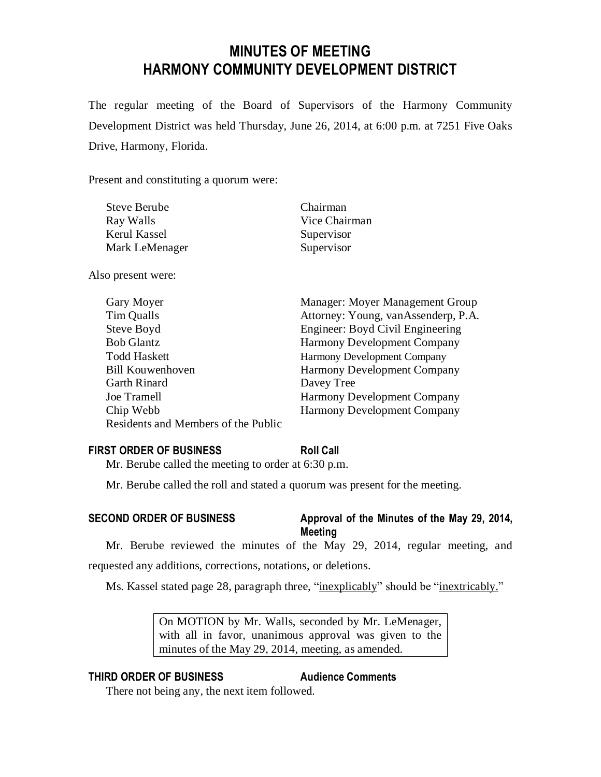# **MINUTES OF MEETING HARMONY COMMUNITY DEVELOPMENT DISTRICT**

The regular meeting of the Board of Supervisors of the Harmony Community Development District was held Thursday, June 26, 2014, at 6:00 p.m. at 7251 Five Oaks Drive, Harmony, Florida.

Present and constituting a quorum were:

| <b>Steve Berube</b> | Chairman      |
|---------------------|---------------|
| Ray Walls           | Vice Chairman |
| Kerul Kassel        | Supervisor    |
| Mark LeMenager      | Supervisor    |

Also present were:

| Gary Moyer                          | Manager: Moyer Management Group     |
|-------------------------------------|-------------------------------------|
| Tim Qualls                          | Attorney: Young, vanAssenderp, P.A. |
| Steve Boyd                          | Engineer: Boyd Civil Engineering    |
| <b>Bob Glantz</b>                   | <b>Harmony Development Company</b>  |
| <b>Todd Haskett</b>                 | Harmony Development Company         |
| <b>Bill Kouwenhoven</b>             | <b>Harmony Development Company</b>  |
| <b>Garth Rinard</b>                 | Davey Tree                          |
| Joe Tramell                         | <b>Harmony Development Company</b>  |
| Chip Webb                           | <b>Harmony Development Company</b>  |
| Residents and Members of the Public |                                     |

# **FIRST ORDER OF BUSINESS Roll Call**

Mr. Berube called the meeting to order at 6:30 p.m.

Mr. Berube called the roll and stated a quorum was present for the meeting.

# **SECOND ORDER OF BUSINESS Approval of the Minutes of the May 29, 2014, Meeting**

Mr. Berube reviewed the minutes of the May 29, 2014, regular meeting, and requested any additions, corrections, notations, or deletions.

Ms. Kassel stated page 28, paragraph three, "inexplicably" should be "inextricably."

On MOTION by Mr. Walls, seconded by Mr. LeMenager, with all in favor, unanimous approval was given to the minutes of the May 29, 2014, meeting, as amended.

# **THIRD ORDER OF BUSINESS Audience Comments**

There not being any, the next item followed.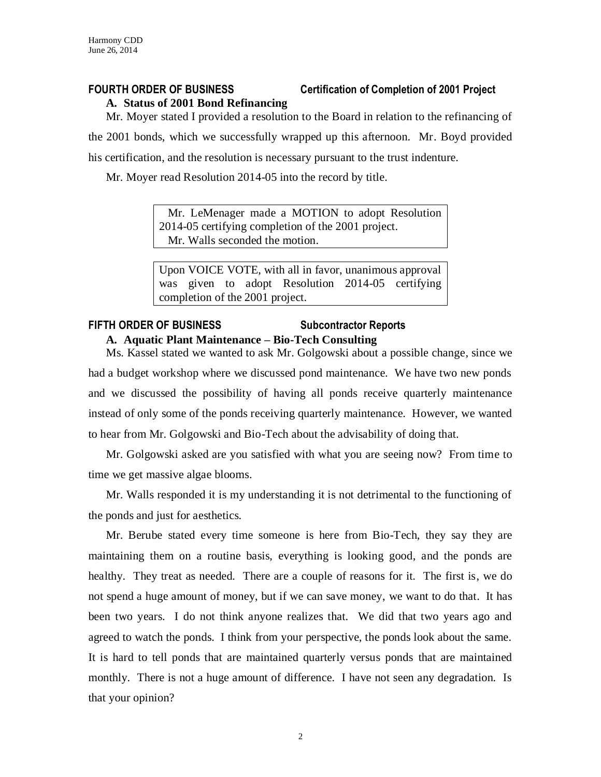# **FOURTH ORDER OF BUSINESS Certification of Completion of 2001 Project**

## **A. Status of 2001 Bond Refinancing**

Mr. Moyer stated I provided a resolution to the Board in relation to the refinancing of the 2001 bonds, which we successfully wrapped up this afternoon. Mr. Boyd provided his certification, and the resolution is necessary pursuant to the trust indenture.

Mr. Moyer read Resolution 2014-05 into the record by title.

 Mr. LeMenager made a MOTION to adopt Resolution 2014-05 certifying completion of the 2001 project. Mr. Walls seconded the motion.

Upon VOICE VOTE, with all in favor, unanimous approval was given to adopt Resolution 2014-05 certifying completion of the 2001 project.

# **FIFTH ORDER OF BUSINESS Subcontractor Reports A. Aquatic Plant Maintenance – Bio-Tech Consulting**

Ms. Kassel stated we wanted to ask Mr. Golgowski about a possible change, since we had a budget workshop where we discussed pond maintenance. We have two new ponds and we discussed the possibility of having all ponds receive quarterly maintenance instead of only some of the ponds receiving quarterly maintenance. However, we wanted to hear from Mr. Golgowski and Bio-Tech about the advisability of doing that.

Mr. Golgowski asked are you satisfied with what you are seeing now? From time to time we get massive algae blooms.

Mr. Walls responded it is my understanding it is not detrimental to the functioning of the ponds and just for aesthetics.

Mr. Berube stated every time someone is here from Bio-Tech, they say they are maintaining them on a routine basis, everything is looking good, and the ponds are healthy. They treat as needed. There are a couple of reasons for it. The first is, we do not spend a huge amount of money, but if we can save money, we want to do that. It has been two years. I do not think anyone realizes that. We did that two years ago and agreed to watch the ponds. I think from your perspective, the ponds look about the same. It is hard to tell ponds that are maintained quarterly versus ponds that are maintained monthly. There is not a huge amount of difference. I have not seen any degradation. Is that your opinion?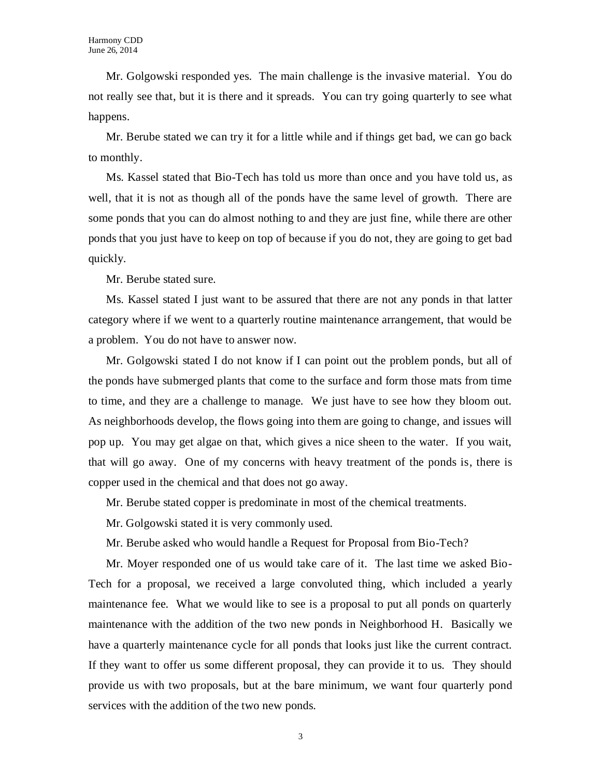Mr. Golgowski responded yes. The main challenge is the invasive material. You do not really see that, but it is there and it spreads. You can try going quarterly to see what happens.

Mr. Berube stated we can try it for a little while and if things get bad, we can go back to monthly.

Ms. Kassel stated that Bio-Tech has told us more than once and you have told us, as well, that it is not as though all of the ponds have the same level of growth. There are some ponds that you can do almost nothing to and they are just fine, while there are other ponds that you just have to keep on top of because if you do not, they are going to get bad quickly.

Mr. Berube stated sure.

Ms. Kassel stated I just want to be assured that there are not any ponds in that latter category where if we went to a quarterly routine maintenance arrangement, that would be a problem. You do not have to answer now.

Mr. Golgowski stated I do not know if I can point out the problem ponds, but all of the ponds have submerged plants that come to the surface and form those mats from time to time, and they are a challenge to manage. We just have to see how they bloom out. As neighborhoods develop, the flows going into them are going to change, and issues will pop up. You may get algae on that, which gives a nice sheen to the water. If you wait, that will go away. One of my concerns with heavy treatment of the ponds is, there is copper used in the chemical and that does not go away.

Mr. Berube stated copper is predominate in most of the chemical treatments.

Mr. Golgowski stated it is very commonly used.

Mr. Berube asked who would handle a Request for Proposal from Bio-Tech?

Mr. Moyer responded one of us would take care of it. The last time we asked Bio-Tech for a proposal, we received a large convoluted thing, which included a yearly maintenance fee. What we would like to see is a proposal to put all ponds on quarterly maintenance with the addition of the two new ponds in Neighborhood H. Basically we have a quarterly maintenance cycle for all ponds that looks just like the current contract. If they want to offer us some different proposal, they can provide it to us. They should provide us with two proposals, but at the bare minimum, we want four quarterly pond services with the addition of the two new ponds.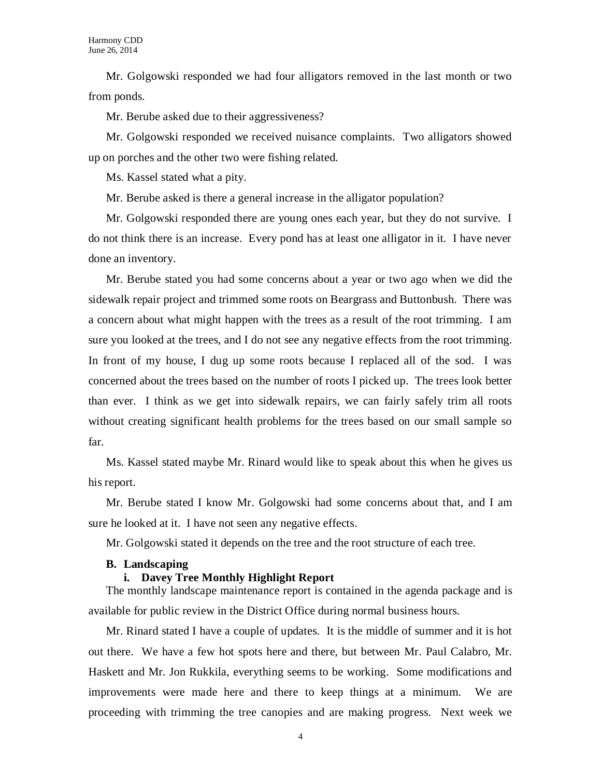Mr. Golgowski responded we had four alligators removed in the last month or two from ponds.

Mr. Berube asked due to their aggressiveness?

Mr. Golgowski responded we received nuisance complaints. Two alligators showed up on porches and the other two were fishing related.

Ms. Kassel stated what a pity.

Mr. Berube asked is there a general increase in the alligator population?

Mr. Golgowski responded there are young ones each year, but they do not survive. I do not think there is an increase. Every pond has at least one alligator in it. I have never done an inventory.

Mr. Berube stated you had some concerns about a year or two ago when we did the sidewalk repair project and trimmed some roots on Beargrass and Buttonbush. There was a concern about what might happen with the trees as a result of the root trimming. I am sure you looked at the trees, and I do not see any negative effects from the root trimming. In front of my house, I dug up some roots because I replaced all of the sod. I was concerned about the trees based on the number of roots I picked up. The trees look better than ever. I think as we get into sidewalk repairs, we can fairly safely trim all roots without creating significant health problems for the trees based on our small sample so far.

Ms. Kassel stated maybe Mr. Rinard would like to speak about this when he gives us his report.

Mr. Berube stated I know Mr. Golgowski had some concerns about that, and I am sure he looked at it. I have not seen any negative effects.

Mr. Golgowski stated it depends on the tree and the root structure of each tree.

# **B. Landscaping**

# **i. Davey Tree Monthly Highlight Report**

The monthly landscape maintenance report is contained in the agenda package and is available for public review in the District Office during normal business hours.

Mr. Rinard stated I have a couple of updates. It is the middle of summer and it is hot out there. We have a few hot spots here and there, but between Mr. Paul Calabro, Mr. Haskett and Mr. Jon Rukkila, everything seems to be working. Some modifications and improvements were made here and there to keep things at a minimum. We are proceeding with trimming the tree canopies and are making progress. Next week we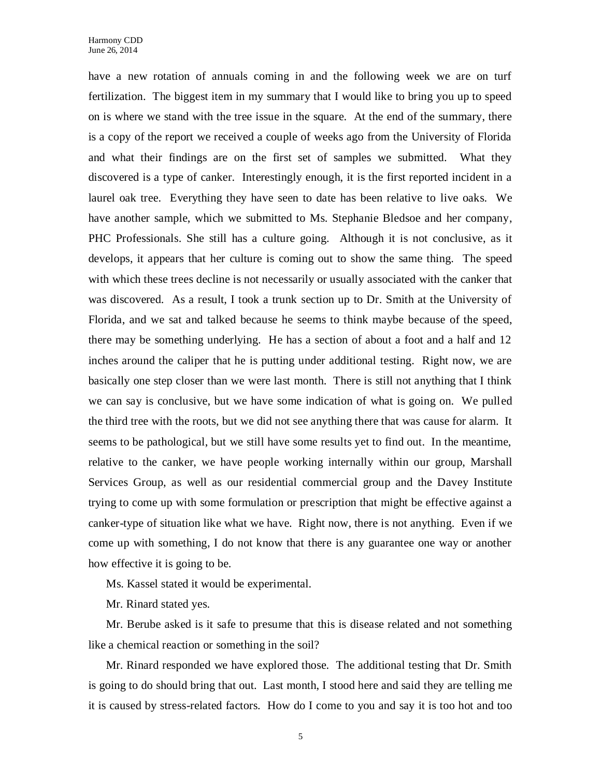have a new rotation of annuals coming in and the following week we are on turf fertilization. The biggest item in my summary that I would like to bring you up to speed on is where we stand with the tree issue in the square. At the end of the summary, there is a copy of the report we received a couple of weeks ago from the University of Florida and what their findings are on the first set of samples we submitted. What they discovered is a type of canker. Interestingly enough, it is the first reported incident in a laurel oak tree. Everything they have seen to date has been relative to live oaks. We have another sample, which we submitted to Ms. Stephanie Bledsoe and her company, PHC Professionals. She still has a culture going. Although it is not conclusive, as it develops, it appears that her culture is coming out to show the same thing. The speed with which these trees decline is not necessarily or usually associated with the canker that was discovered. As a result, I took a trunk section up to Dr. Smith at the University of Florida, and we sat and talked because he seems to think maybe because of the speed, there may be something underlying. He has a section of about a foot and a half and 12 inches around the caliper that he is putting under additional testing. Right now, we are basically one step closer than we were last month. There is still not anything that I think we can say is conclusive, but we have some indication of what is going on. We pulled the third tree with the roots, but we did not see anything there that was cause for alarm. It seems to be pathological, but we still have some results yet to find out. In the meantime, relative to the canker, we have people working internally within our group, Marshall Services Group, as well as our residential commercial group and the Davey Institute trying to come up with some formulation or prescription that might be effective against a canker-type of situation like what we have. Right now, there is not anything. Even if we come up with something, I do not know that there is any guarantee one way or another how effective it is going to be.

Ms. Kassel stated it would be experimental.

Mr. Rinard stated yes.

Mr. Berube asked is it safe to presume that this is disease related and not something like a chemical reaction or something in the soil?

Mr. Rinard responded we have explored those. The additional testing that Dr. Smith is going to do should bring that out. Last month, I stood here and said they are telling me it is caused by stress-related factors. How do I come to you and say it is too hot and too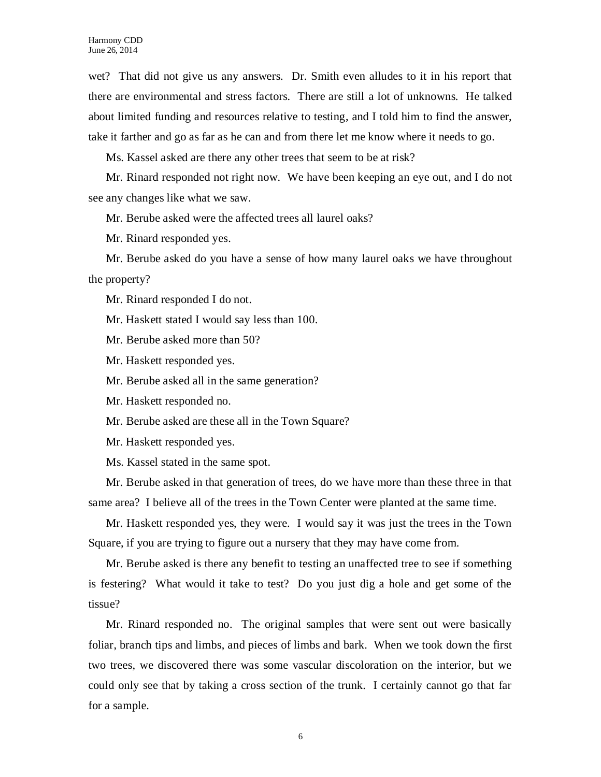wet? That did not give us any answers. Dr. Smith even alludes to it in his report that there are environmental and stress factors. There are still a lot of unknowns. He talked about limited funding and resources relative to testing, and I told him to find the answer, take it farther and go as far as he can and from there let me know where it needs to go.

Ms. Kassel asked are there any other trees that seem to be at risk?

Mr. Rinard responded not right now. We have been keeping an eye out, and I do not see any changes like what we saw.

Mr. Berube asked were the affected trees all laurel oaks?

Mr. Rinard responded yes.

Mr. Berube asked do you have a sense of how many laurel oaks we have throughout the property?

Mr. Rinard responded I do not.

Mr. Haskett stated I would say less than 100.

Mr. Berube asked more than 50?

Mr. Haskett responded yes.

Mr. Berube asked all in the same generation?

Mr. Haskett responded no.

Mr. Berube asked are these all in the Town Square?

Mr. Haskett responded yes.

Ms. Kassel stated in the same spot.

Mr. Berube asked in that generation of trees, do we have more than these three in that same area? I believe all of the trees in the Town Center were planted at the same time.

Mr. Haskett responded yes, they were. I would say it was just the trees in the Town Square, if you are trying to figure out a nursery that they may have come from.

Mr. Berube asked is there any benefit to testing an unaffected tree to see if something is festering? What would it take to test? Do you just dig a hole and get some of the tissue?

Mr. Rinard responded no. The original samples that were sent out were basically foliar, branch tips and limbs, and pieces of limbs and bark. When we took down the first two trees, we discovered there was some vascular discoloration on the interior, but we could only see that by taking a cross section of the trunk. I certainly cannot go that far for a sample.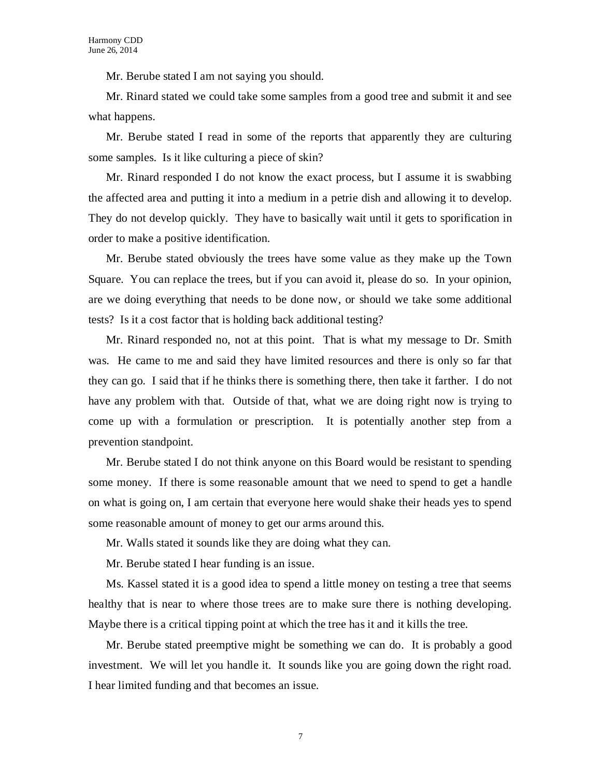Mr. Berube stated I am not saying you should.

Mr. Rinard stated we could take some samples from a good tree and submit it and see what happens.

Mr. Berube stated I read in some of the reports that apparently they are culturing some samples. Is it like culturing a piece of skin?

Mr. Rinard responded I do not know the exact process, but I assume it is swabbing the affected area and putting it into a medium in a petrie dish and allowing it to develop. They do not develop quickly. They have to basically wait until it gets to sporification in order to make a positive identification.

Mr. Berube stated obviously the trees have some value as they make up the Town Square. You can replace the trees, but if you can avoid it, please do so. In your opinion, are we doing everything that needs to be done now, or should we take some additional tests? Is it a cost factor that is holding back additional testing?

Mr. Rinard responded no, not at this point. That is what my message to Dr. Smith was. He came to me and said they have limited resources and there is only so far that they can go. I said that if he thinks there is something there, then take it farther. I do not have any problem with that. Outside of that, what we are doing right now is trying to come up with a formulation or prescription. It is potentially another step from a prevention standpoint.

Mr. Berube stated I do not think anyone on this Board would be resistant to spending some money. If there is some reasonable amount that we need to spend to get a handle on what is going on, I am certain that everyone here would shake their heads yes to spend some reasonable amount of money to get our arms around this.

Mr. Walls stated it sounds like they are doing what they can.

Mr. Berube stated I hear funding is an issue.

Ms. Kassel stated it is a good idea to spend a little money on testing a tree that seems healthy that is near to where those trees are to make sure there is nothing developing. Maybe there is a critical tipping point at which the tree has it and it kills the tree.

Mr. Berube stated preemptive might be something we can do. It is probably a good investment. We will let you handle it. It sounds like you are going down the right road. I hear limited funding and that becomes an issue.

7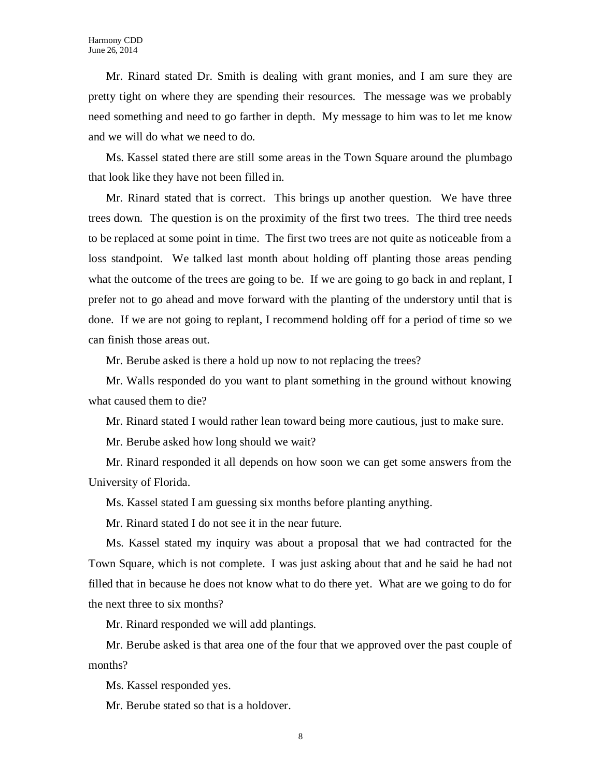Mr. Rinard stated Dr. Smith is dealing with grant monies, and I am sure they are pretty tight on where they are spending their resources. The message was we probably need something and need to go farther in depth. My message to him was to let me know and we will do what we need to do.

Ms. Kassel stated there are still some areas in the Town Square around the plumbago that look like they have not been filled in.

Mr. Rinard stated that is correct. This brings up another question. We have three trees down. The question is on the proximity of the first two trees. The third tree needs to be replaced at some point in time. The first two trees are not quite as noticeable from a loss standpoint. We talked last month about holding off planting those areas pending what the outcome of the trees are going to be. If we are going to go back in and replant, I prefer not to go ahead and move forward with the planting of the understory until that is done. If we are not going to replant, I recommend holding off for a period of time so we can finish those areas out.

Mr. Berube asked is there a hold up now to not replacing the trees?

Mr. Walls responded do you want to plant something in the ground without knowing what caused them to die?

Mr. Rinard stated I would rather lean toward being more cautious, just to make sure.

Mr. Berube asked how long should we wait?

Mr. Rinard responded it all depends on how soon we can get some answers from the University of Florida.

Ms. Kassel stated I am guessing six months before planting anything.

Mr. Rinard stated I do not see it in the near future.

Ms. Kassel stated my inquiry was about a proposal that we had contracted for the Town Square, which is not complete. I was just asking about that and he said he had not filled that in because he does not know what to do there yet. What are we going to do for the next three to six months?

Mr. Rinard responded we will add plantings.

Mr. Berube asked is that area one of the four that we approved over the past couple of months?

Ms. Kassel responded yes.

Mr. Berube stated so that is a holdover.

8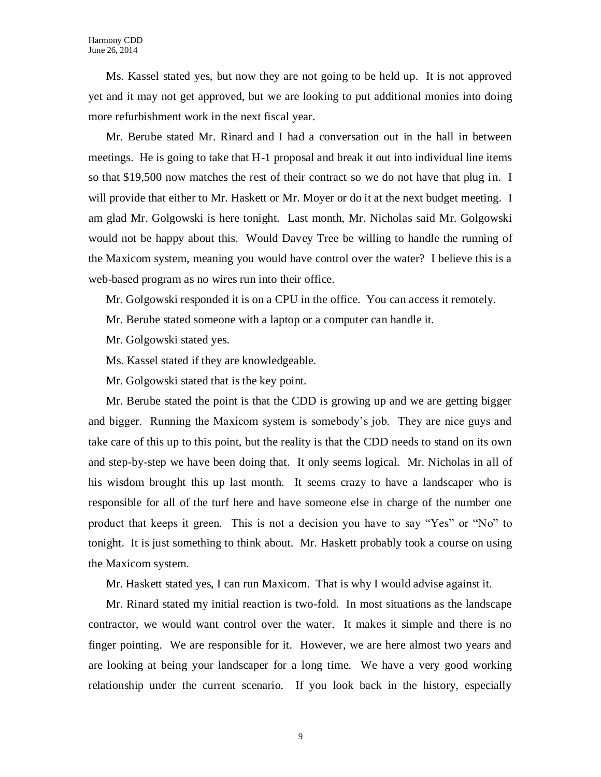Ms. Kassel stated yes, but now they are not going to be held up. It is not approved yet and it may not get approved, but we are looking to put additional monies into doing more refurbishment work in the next fiscal year.

Mr. Berube stated Mr. Rinard and I had a conversation out in the hall in between meetings. He is going to take that H-1 proposal and break it out into individual line items so that \$19,500 now matches the rest of their contract so we do not have that plug in. I will provide that either to Mr. Haskett or Mr. Moyer or do it at the next budget meeting. I am glad Mr. Golgowski is here tonight. Last month, Mr. Nicholas said Mr. Golgowski would not be happy about this. Would Davey Tree be willing to handle the running of the Maxicom system, meaning you would have control over the water? I believe this is a web-based program as no wires run into their office.

Mr. Golgowski responded it is on a CPU in the office. You can access it remotely.

- Mr. Berube stated someone with a laptop or a computer can handle it.
- Mr. Golgowski stated yes.
- Ms. Kassel stated if they are knowledgeable.
- Mr. Golgowski stated that is the key point.

Mr. Berube stated the point is that the CDD is growing up and we are getting bigger and bigger. Running the Maxicom system is somebody's job. They are nice guys and take care of this up to this point, but the reality is that the CDD needs to stand on its own and step-by-step we have been doing that. It only seems logical. Mr. Nicholas in all of his wisdom brought this up last month. It seems crazy to have a landscaper who is responsible for all of the turf here and have someone else in charge of the number one product that keeps it green. This is not a decision you have to say "Yes" or "No" to tonight. It is just something to think about. Mr. Haskett probably took a course on using the Maxicom system.

Mr. Haskett stated yes, I can run Maxicom. That is why I would advise against it.

Mr. Rinard stated my initial reaction is two-fold. In most situations as the landscape contractor, we would want control over the water. It makes it simple and there is no finger pointing. We are responsible for it. However, we are here almost two years and are looking at being your landscaper for a long time. We have a very good working relationship under the current scenario. If you look back in the history, especially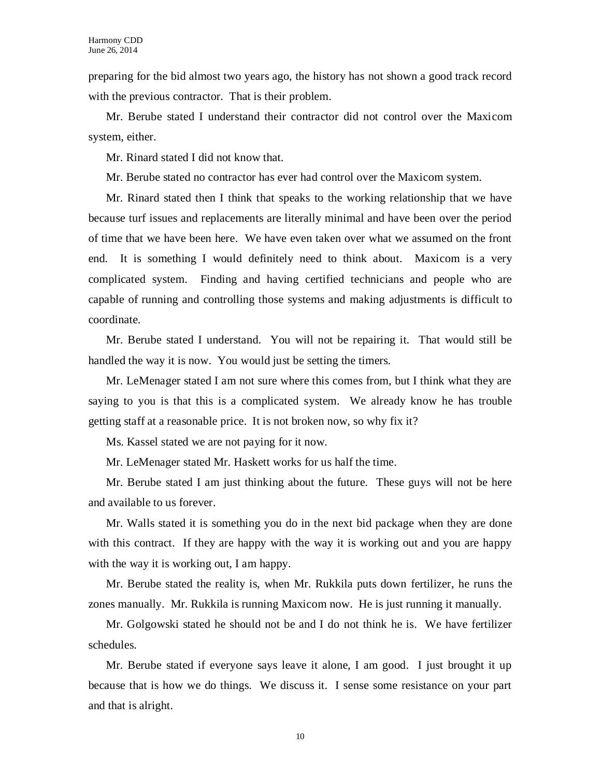preparing for the bid almost two years ago, the history has not shown a good track record with the previous contractor. That is their problem.

Mr. Berube stated I understand their contractor did not control over the Maxicom system, either.

Mr. Rinard stated I did not know that.

Mr. Berube stated no contractor has ever had control over the Maxicom system.

Mr. Rinard stated then I think that speaks to the working relationship that we have because turf issues and replacements are literally minimal and have been over the period of time that we have been here. We have even taken over what we assumed on the front end. It is something I would definitely need to think about. Maxicom is a very complicated system. Finding and having certified technicians and people who are capable of running and controlling those systems and making adjustments is difficult to coordinate.

Mr. Berube stated I understand. You will not be repairing it. That would still be handled the way it is now. You would just be setting the timers.

Mr. LeMenager stated I am not sure where this comes from, but I think what they are saying to you is that this is a complicated system. We already know he has trouble getting staff at a reasonable price. It is not broken now, so why fix it?

Ms. Kassel stated we are not paying for it now.

Mr. LeMenager stated Mr. Haskett works for us half the time.

Mr. Berube stated I am just thinking about the future. These guys will not be here and available to us forever.

Mr. Walls stated it is something you do in the next bid package when they are done with this contract. If they are happy with the way it is working out and you are happy with the way it is working out, I am happy.

Mr. Berube stated the reality is, when Mr. Rukkila puts down fertilizer, he runs the zones manually. Mr. Rukkila is running Maxicom now. He is just running it manually.

Mr. Golgowski stated he should not be and I do not think he is. We have fertilizer schedules.

Mr. Berube stated if everyone says leave it alone, I am good. I just brought it up because that is how we do things. We discuss it. I sense some resistance on your part and that is alright.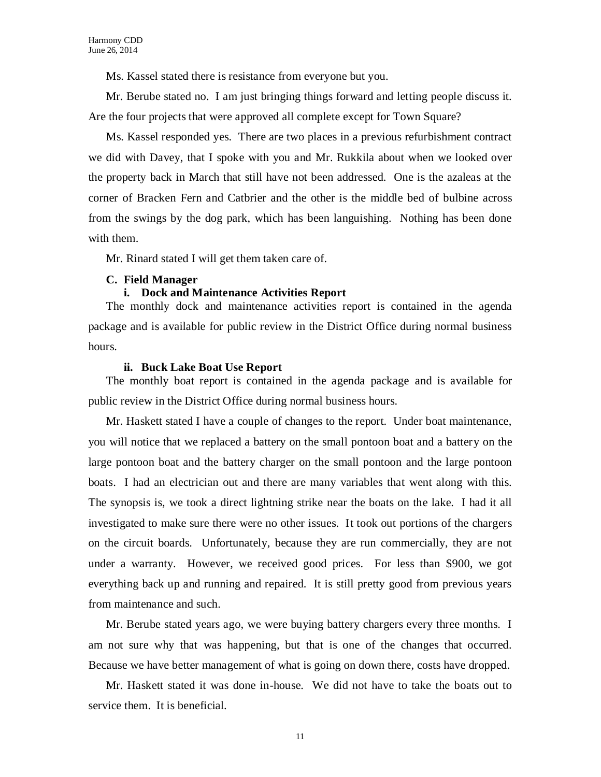Ms. Kassel stated there is resistance from everyone but you.

Mr. Berube stated no. I am just bringing things forward and letting people discuss it. Are the four projects that were approved all complete except for Town Square?

Ms. Kassel responded yes. There are two places in a previous refurbishment contract we did with Davey, that I spoke with you and Mr. Rukkila about when we looked over the property back in March that still have not been addressed. One is the azaleas at the corner of Bracken Fern and Catbrier and the other is the middle bed of bulbine across from the swings by the dog park, which has been languishing. Nothing has been done with them.

Mr. Rinard stated I will get them taken care of.

#### **C. Field Manager**

### **i. Dock and Maintenance Activities Report**

The monthly dock and maintenance activities report is contained in the agenda package and is available for public review in the District Office during normal business hours.

#### **ii. Buck Lake Boat Use Report**

The monthly boat report is contained in the agenda package and is available for public review in the District Office during normal business hours.

Mr. Haskett stated I have a couple of changes to the report. Under boat maintenance, you will notice that we replaced a battery on the small pontoon boat and a battery on the large pontoon boat and the battery charger on the small pontoon and the large pontoon boats. I had an electrician out and there are many variables that went along with this. The synopsis is, we took a direct lightning strike near the boats on the lake. I had it all investigated to make sure there were no other issues. It took out portions of the chargers on the circuit boards. Unfortunately, because they are run commercially, they are not under a warranty. However, we received good prices. For less than \$900, we got everything back up and running and repaired. It is still pretty good from previous years from maintenance and such.

Mr. Berube stated years ago, we were buying battery chargers every three months. I am not sure why that was happening, but that is one of the changes that occurred. Because we have better management of what is going on down there, costs have dropped.

Mr. Haskett stated it was done in-house. We did not have to take the boats out to service them. It is beneficial.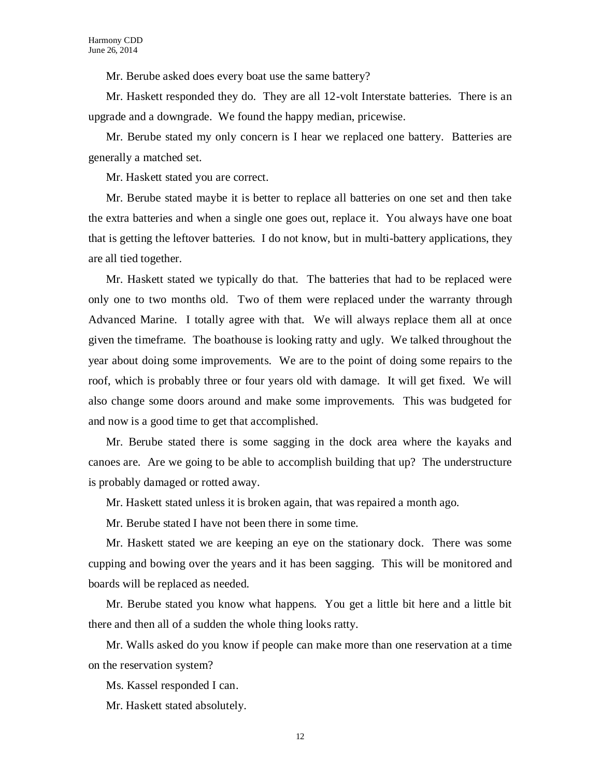Mr. Berube asked does every boat use the same battery?

Mr. Haskett responded they do. They are all 12-volt Interstate batteries. There is an upgrade and a downgrade. We found the happy median, pricewise.

Mr. Berube stated my only concern is I hear we replaced one battery. Batteries are generally a matched set.

Mr. Haskett stated you are correct.

Mr. Berube stated maybe it is better to replace all batteries on one set and then take the extra batteries and when a single one goes out, replace it. You always have one boat that is getting the leftover batteries. I do not know, but in multi-battery applications, they are all tied together.

Mr. Haskett stated we typically do that. The batteries that had to be replaced were only one to two months old. Two of them were replaced under the warranty through Advanced Marine. I totally agree with that. We will always replace them all at once given the timeframe. The boathouse is looking ratty and ugly. We talked throughout the year about doing some improvements. We are to the point of doing some repairs to the roof, which is probably three or four years old with damage. It will get fixed. We will also change some doors around and make some improvements. This was budgeted for and now is a good time to get that accomplished.

Mr. Berube stated there is some sagging in the dock area where the kayaks and canoes are. Are we going to be able to accomplish building that up? The understructure is probably damaged or rotted away.

Mr. Haskett stated unless it is broken again, that was repaired a month ago.

Mr. Berube stated I have not been there in some time.

Mr. Haskett stated we are keeping an eye on the stationary dock. There was some cupping and bowing over the years and it has been sagging. This will be monitored and boards will be replaced as needed.

Mr. Berube stated you know what happens. You get a little bit here and a little bit there and then all of a sudden the whole thing looks ratty.

Mr. Walls asked do you know if people can make more than one reservation at a time on the reservation system?

Ms. Kassel responded I can.

Mr. Haskett stated absolutely.

12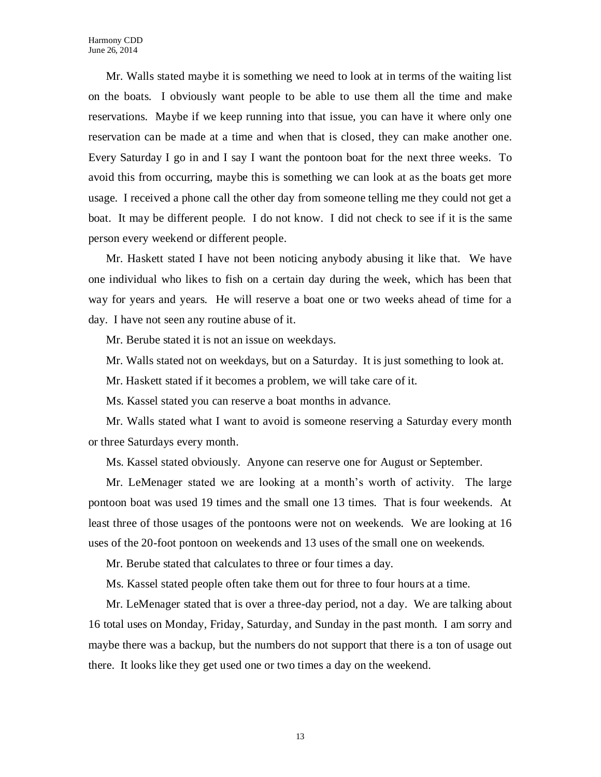Mr. Walls stated maybe it is something we need to look at in terms of the waiting list on the boats. I obviously want people to be able to use them all the time and make reservations. Maybe if we keep running into that issue, you can have it where only one reservation can be made at a time and when that is closed, they can make another one. Every Saturday I go in and I say I want the pontoon boat for the next three weeks. To avoid this from occurring, maybe this is something we can look at as the boats get more usage. I received a phone call the other day from someone telling me they could not get a boat. It may be different people. I do not know. I did not check to see if it is the same person every weekend or different people.

Mr. Haskett stated I have not been noticing anybody abusing it like that. We have one individual who likes to fish on a certain day during the week, which has been that way for years and years. He will reserve a boat one or two weeks ahead of time for a day. I have not seen any routine abuse of it.

Mr. Berube stated it is not an issue on weekdays.

Mr. Walls stated not on weekdays, but on a Saturday. It is just something to look at.

Mr. Haskett stated if it becomes a problem, we will take care of it.

Ms. Kassel stated you can reserve a boat months in advance.

Mr. Walls stated what I want to avoid is someone reserving a Saturday every month or three Saturdays every month.

Ms. Kassel stated obviously. Anyone can reserve one for August or September.

Mr. LeMenager stated we are looking at a month's worth of activity. The large pontoon boat was used 19 times and the small one 13 times. That is four weekends. At least three of those usages of the pontoons were not on weekends. We are looking at 16 uses of the 20-foot pontoon on weekends and 13 uses of the small one on weekends.

Mr. Berube stated that calculates to three or four times a day.

Ms. Kassel stated people often take them out for three to four hours at a time.

Mr. LeMenager stated that is over a three-day period, not a day. We are talking about 16 total uses on Monday, Friday, Saturday, and Sunday in the past month. I am sorry and maybe there was a backup, but the numbers do not support that there is a ton of usage out there. It looks like they get used one or two times a day on the weekend.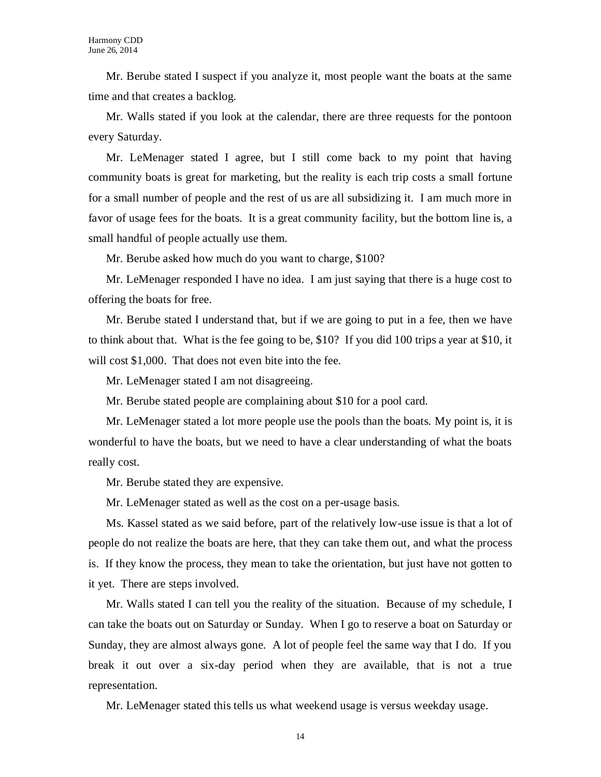Mr. Berube stated I suspect if you analyze it, most people want the boats at the same time and that creates a backlog.

Mr. Walls stated if you look at the calendar, there are three requests for the pontoon every Saturday.

Mr. LeMenager stated I agree, but I still come back to my point that having community boats is great for marketing, but the reality is each trip costs a small fortune for a small number of people and the rest of us are all subsidizing it. I am much more in favor of usage fees for the boats. It is a great community facility, but the bottom line is, a small handful of people actually use them.

Mr. Berube asked how much do you want to charge, \$100?

Mr. LeMenager responded I have no idea. I am just saying that there is a huge cost to offering the boats for free.

Mr. Berube stated I understand that, but if we are going to put in a fee, then we have to think about that. What is the fee going to be, \$10? If you did 100 trips a year at \$10, it will cost \$1,000. That does not even bite into the fee.

Mr. LeMenager stated I am not disagreeing.

Mr. Berube stated people are complaining about \$10 for a pool card.

Mr. LeMenager stated a lot more people use the pools than the boats. My point is, it is wonderful to have the boats, but we need to have a clear understanding of what the boats really cost.

Mr. Berube stated they are expensive.

Mr. LeMenager stated as well as the cost on a per-usage basis.

Ms. Kassel stated as we said before, part of the relatively low-use issue is that a lot of people do not realize the boats are here, that they can take them out, and what the process is. If they know the process, they mean to take the orientation, but just have not gotten to it yet. There are steps involved.

Mr. Walls stated I can tell you the reality of the situation. Because of my schedule, I can take the boats out on Saturday or Sunday. When I go to reserve a boat on Saturday or Sunday, they are almost always gone. A lot of people feel the same way that I do. If you break it out over a six-day period when they are available, that is not a true representation.

Mr. LeMenager stated this tells us what weekend usage is versus weekday usage.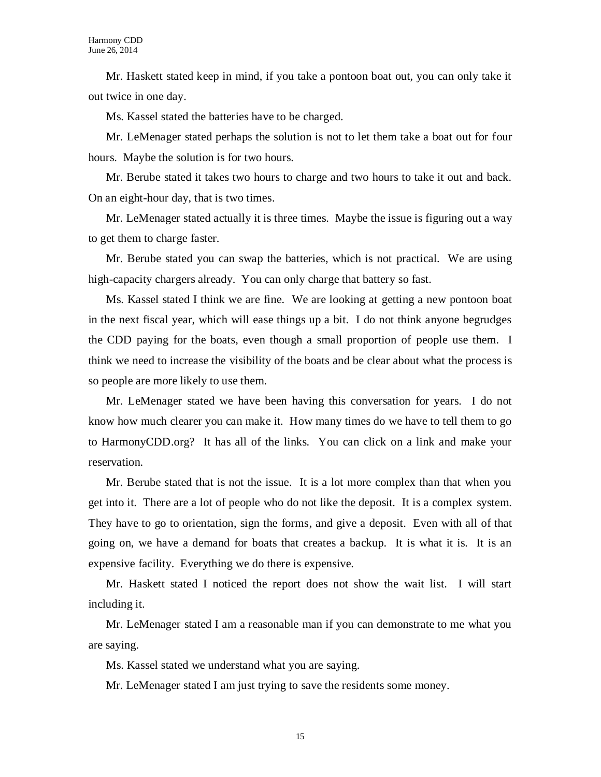Mr. Haskett stated keep in mind, if you take a pontoon boat out, you can only take it out twice in one day.

Ms. Kassel stated the batteries have to be charged.

Mr. LeMenager stated perhaps the solution is not to let them take a boat out for four hours. Maybe the solution is for two hours.

Mr. Berube stated it takes two hours to charge and two hours to take it out and back. On an eight-hour day, that is two times.

Mr. LeMenager stated actually it is three times. Maybe the issue is figuring out a way to get them to charge faster.

Mr. Berube stated you can swap the batteries, which is not practical. We are using high-capacity chargers already. You can only charge that battery so fast.

Ms. Kassel stated I think we are fine. We are looking at getting a new pontoon boat in the next fiscal year, which will ease things up a bit. I do not think anyone begrudges the CDD paying for the boats, even though a small proportion of people use them. I think we need to increase the visibility of the boats and be clear about what the process is so people are more likely to use them.

Mr. LeMenager stated we have been having this conversation for years. I do not know how much clearer you can make it. How many times do we have to tell them to go to HarmonyCDD.org? It has all of the links. You can click on a link and make your reservation.

Mr. Berube stated that is not the issue. It is a lot more complex than that when you get into it. There are a lot of people who do not like the deposit. It is a complex system. They have to go to orientation, sign the forms, and give a deposit. Even with all of that going on, we have a demand for boats that creates a backup. It is what it is. It is an expensive facility. Everything we do there is expensive.

Mr. Haskett stated I noticed the report does not show the wait list. I will start including it.

Mr. LeMenager stated I am a reasonable man if you can demonstrate to me what you are saying.

Ms. Kassel stated we understand what you are saying.

Mr. LeMenager stated I am just trying to save the residents some money.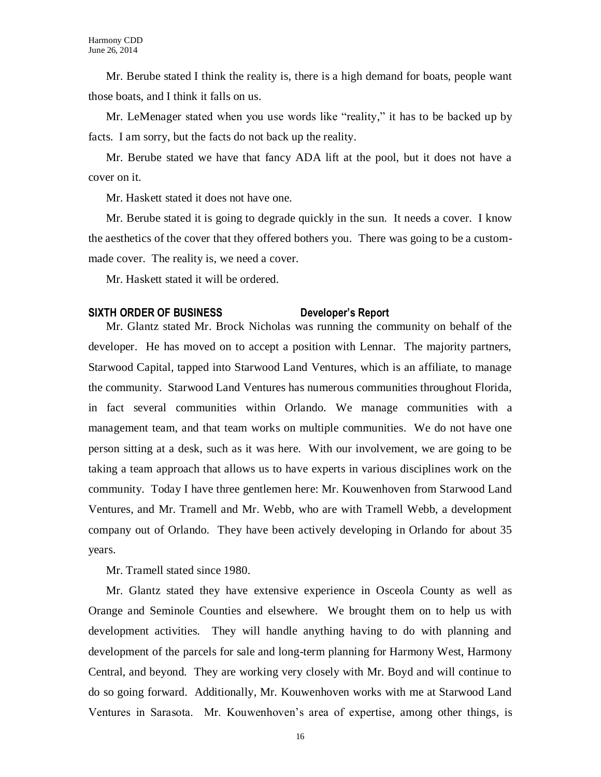Mr. Berube stated I think the reality is, there is a high demand for boats, people want those boats, and I think it falls on us.

Mr. LeMenager stated when you use words like "reality," it has to be backed up by facts. I am sorry, but the facts do not back up the reality.

Mr. Berube stated we have that fancy ADA lift at the pool, but it does not have a cover on it.

Mr. Haskett stated it does not have one.

Mr. Berube stated it is going to degrade quickly in the sun. It needs a cover. I know the aesthetics of the cover that they offered bothers you. There was going to be a custommade cover. The reality is, we need a cover.

Mr. Haskett stated it will be ordered.

# **SIXTH ORDER OF BUSINESS Developer's Report**

Mr. Glantz stated Mr. Brock Nicholas was running the community on behalf of the developer. He has moved on to accept a position with Lennar. The majority partners, Starwood Capital, tapped into Starwood Land Ventures, which is an affiliate, to manage the community. Starwood Land Ventures has numerous communities throughout Florida, in fact several communities within Orlando. We manage communities with a management team, and that team works on multiple communities. We do not have one person sitting at a desk, such as it was here. With our involvement, we are going to be taking a team approach that allows us to have experts in various disciplines work on the community. Today I have three gentlemen here: Mr. Kouwenhoven from Starwood Land Ventures, and Mr. Tramell and Mr. Webb, who are with Tramell Webb, a development company out of Orlando. They have been actively developing in Orlando for about 35 years.

Mr. Tramell stated since 1980.

Mr. Glantz stated they have extensive experience in Osceola County as well as Orange and Seminole Counties and elsewhere. We brought them on to help us with development activities. They will handle anything having to do with planning and development of the parcels for sale and long-term planning for Harmony West, Harmony Central, and beyond. They are working very closely with Mr. Boyd and will continue to do so going forward. Additionally, Mr. Kouwenhoven works with me at Starwood Land Ventures in Sarasota. Mr. Kouwenhoven's area of expertise, among other things, is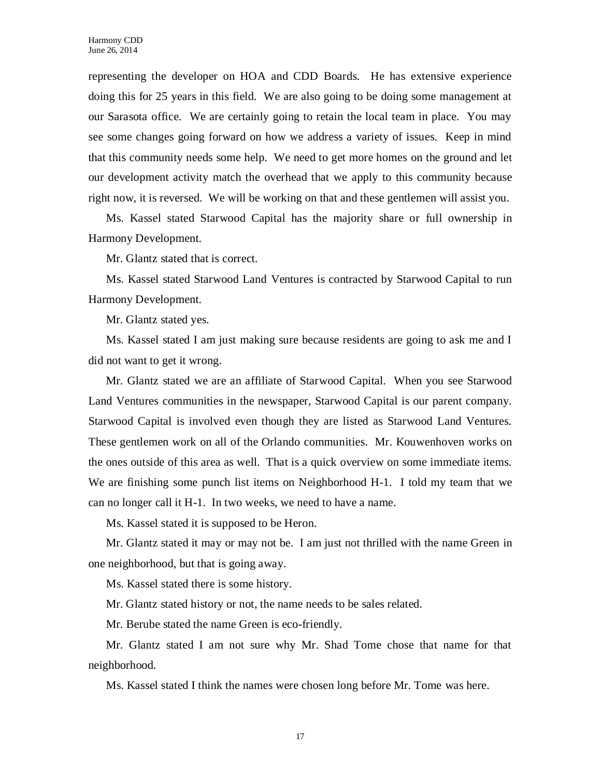representing the developer on HOA and CDD Boards. He has extensive experience doing this for 25 years in this field. We are also going to be doing some management at our Sarasota office. We are certainly going to retain the local team in place. You may see some changes going forward on how we address a variety of issues. Keep in mind that this community needs some help. We need to get more homes on the ground and let our development activity match the overhead that we apply to this community because right now, it is reversed. We will be working on that and these gentlemen will assist you.

Ms. Kassel stated Starwood Capital has the majority share or full ownership in Harmony Development.

Mr. Glantz stated that is correct.

Ms. Kassel stated Starwood Land Ventures is contracted by Starwood Capital to run Harmony Development.

Mr. Glantz stated yes.

Ms. Kassel stated I am just making sure because residents are going to ask me and I did not want to get it wrong.

Mr. Glantz stated we are an affiliate of Starwood Capital. When you see Starwood Land Ventures communities in the newspaper, Starwood Capital is our parent company. Starwood Capital is involved even though they are listed as Starwood Land Ventures. These gentlemen work on all of the Orlando communities. Mr. Kouwenhoven works on the ones outside of this area as well. That is a quick overview on some immediate items. We are finishing some punch list items on Neighborhood H-1. I told my team that we can no longer call it H-1. In two weeks, we need to have a name.

Ms. Kassel stated it is supposed to be Heron.

Mr. Glantz stated it may or may not be. I am just not thrilled with the name Green in one neighborhood, but that is going away.

Ms. Kassel stated there is some history.

Mr. Glantz stated history or not, the name needs to be sales related.

Mr. Berube stated the name Green is eco-friendly.

Mr. Glantz stated I am not sure why Mr. Shad Tome chose that name for that neighborhood.

Ms. Kassel stated I think the names were chosen long before Mr. Tome was here.

17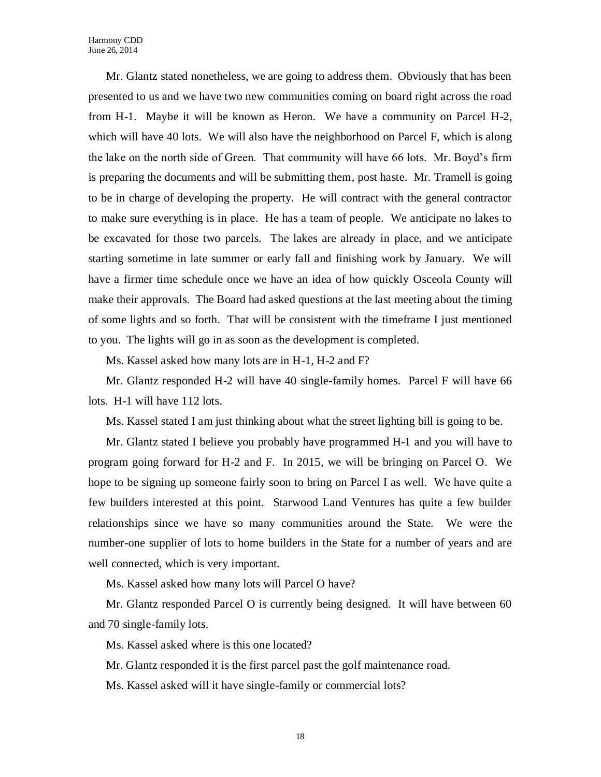Mr. Glantz stated nonetheless, we are going to address them. Obviously that has been presented to us and we have two new communities coming on board right across the road from H-1. Maybe it will be known as Heron. We have a community on Parcel H-2, which will have 40 lots. We will also have the neighborhood on Parcel F, which is along the lake on the north side of Green. That community will have 66 lots. Mr. Boyd's firm is preparing the documents and will be submitting them, post haste. Mr. Tramell is going to be in charge of developing the property. He will contract with the general contractor to make sure everything is in place. He has a team of people. We anticipate no lakes to be excavated for those two parcels. The lakes are already in place, and we anticipate starting sometime in late summer or early fall and finishing work by January. We will have a firmer time schedule once we have an idea of how quickly Osceola County will make their approvals. The Board had asked questions at the last meeting about the timing of some lights and so forth. That will be consistent with the timeframe I just mentioned to you. The lights will go in as soon as the development is completed.

Ms. Kassel asked how many lots are in H-1, H-2 and F?

Mr. Glantz responded H-2 will have 40 single-family homes. Parcel F will have 66 lots. H-1 will have 112 lots.

Ms. Kassel stated I am just thinking about what the street lighting bill is going to be.

Mr. Glantz stated I believe you probably have programmed H-1 and you will have to program going forward for H-2 and F. In 2015, we will be bringing on Parcel O. We hope to be signing up someone fairly soon to bring on Parcel I as well. We have quite a few builders interested at this point. Starwood Land Ventures has quite a few builder relationships since we have so many communities around the State. We were the number-one supplier of lots to home builders in the State for a number of years and are well connected, which is very important.

Ms. Kassel asked how many lots will Parcel O have?

Mr. Glantz responded Parcel O is currently being designed. It will have between 60 and 70 single-family lots.

Ms. Kassel asked where is this one located?

Mr. Glantz responded it is the first parcel past the golf maintenance road.

Ms. Kassel asked will it have single-family or commercial lots?

18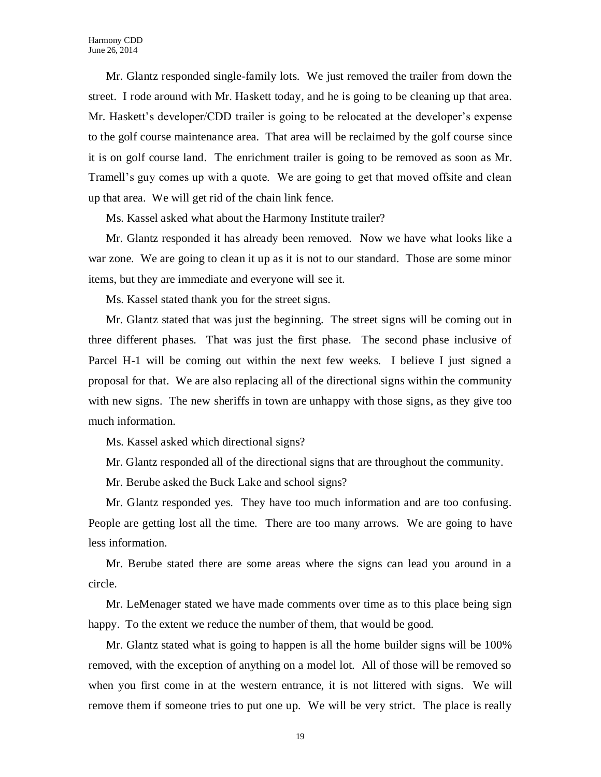Mr. Glantz responded single-family lots. We just removed the trailer from down the street. I rode around with Mr. Haskett today, and he is going to be cleaning up that area. Mr. Haskett's developer/CDD trailer is going to be relocated at the developer's expense to the golf course maintenance area. That area will be reclaimed by the golf course since it is on golf course land. The enrichment trailer is going to be removed as soon as Mr. Tramell's guy comes up with a quote. We are going to get that moved offsite and clean up that area. We will get rid of the chain link fence.

Ms. Kassel asked what about the Harmony Institute trailer?

Mr. Glantz responded it has already been removed. Now we have what looks like a war zone. We are going to clean it up as it is not to our standard. Those are some minor items, but they are immediate and everyone will see it.

Ms. Kassel stated thank you for the street signs.

Mr. Glantz stated that was just the beginning. The street signs will be coming out in three different phases. That was just the first phase. The second phase inclusive of Parcel H-1 will be coming out within the next few weeks. I believe I just signed a proposal for that. We are also replacing all of the directional signs within the community with new signs. The new sheriffs in town are unhappy with those signs, as they give too much information.

Ms. Kassel asked which directional signs?

Mr. Glantz responded all of the directional signs that are throughout the community.

Mr. Berube asked the Buck Lake and school signs?

Mr. Glantz responded yes. They have too much information and are too confusing. People are getting lost all the time. There are too many arrows. We are going to have less information.

Mr. Berube stated there are some areas where the signs can lead you around in a circle.

Mr. LeMenager stated we have made comments over time as to this place being sign happy. To the extent we reduce the number of them, that would be good.

Mr. Glantz stated what is going to happen is all the home builder signs will be 100% removed, with the exception of anything on a model lot. All of those will be removed so when you first come in at the western entrance, it is not littered with signs. We will remove them if someone tries to put one up. We will be very strict. The place is really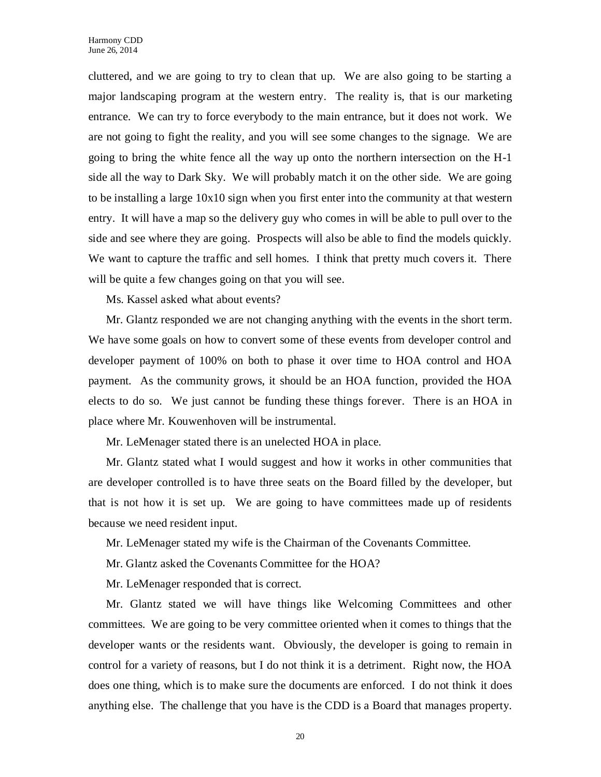cluttered, and we are going to try to clean that up. We are also going to be starting a major landscaping program at the western entry. The reality is, that is our marketing entrance. We can try to force everybody to the main entrance, but it does not work. We are not going to fight the reality, and you will see some changes to the signage. We are going to bring the white fence all the way up onto the northern intersection on the H-1 side all the way to Dark Sky. We will probably match it on the other side. We are going to be installing a large 10x10 sign when you first enter into the community at that western entry. It will have a map so the delivery guy who comes in will be able to pull over to the side and see where they are going. Prospects will also be able to find the models quickly. We want to capture the traffic and sell homes. I think that pretty much covers it. There will be quite a few changes going on that you will see.

Ms. Kassel asked what about events?

Mr. Glantz responded we are not changing anything with the events in the short term. We have some goals on how to convert some of these events from developer control and developer payment of 100% on both to phase it over time to HOA control and HOA payment. As the community grows, it should be an HOA function, provided the HOA elects to do so. We just cannot be funding these things forever. There is an HOA in place where Mr. Kouwenhoven will be instrumental.

Mr. LeMenager stated there is an unelected HOA in place.

Mr. Glantz stated what I would suggest and how it works in other communities that are developer controlled is to have three seats on the Board filled by the developer, but that is not how it is set up. We are going to have committees made up of residents because we need resident input.

Mr. LeMenager stated my wife is the Chairman of the Covenants Committee.

Mr. Glantz asked the Covenants Committee for the HOA?

Mr. LeMenager responded that is correct.

Mr. Glantz stated we will have things like Welcoming Committees and other committees. We are going to be very committee oriented when it comes to things that the developer wants or the residents want. Obviously, the developer is going to remain in control for a variety of reasons, but I do not think it is a detriment. Right now, the HOA does one thing, which is to make sure the documents are enforced. I do not think it does anything else. The challenge that you have is the CDD is a Board that manages property.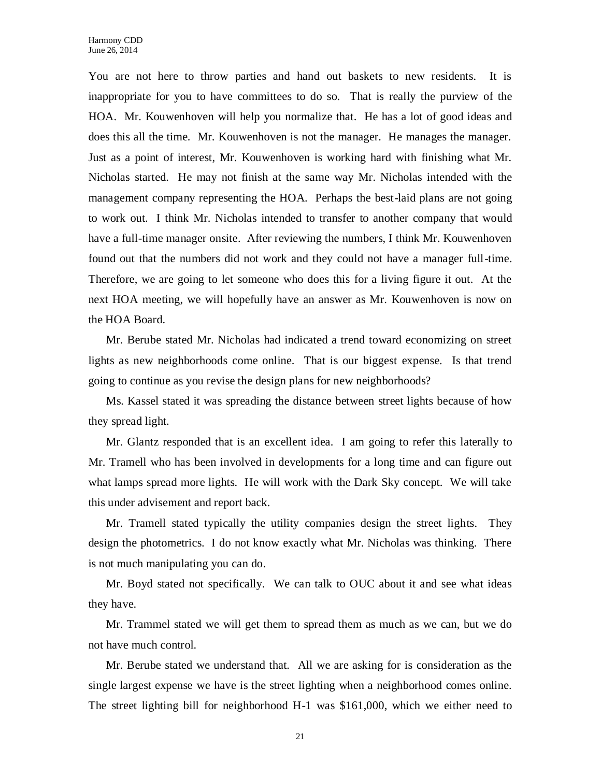You are not here to throw parties and hand out baskets to new residents. It is inappropriate for you to have committees to do so. That is really the purview of the HOA. Mr. Kouwenhoven will help you normalize that. He has a lot of good ideas and does this all the time. Mr. Kouwenhoven is not the manager. He manages the manager. Just as a point of interest, Mr. Kouwenhoven is working hard with finishing what Mr. Nicholas started. He may not finish at the same way Mr. Nicholas intended with the management company representing the HOA. Perhaps the best-laid plans are not going to work out. I think Mr. Nicholas intended to transfer to another company that would have a full-time manager onsite. After reviewing the numbers, I think Mr. Kouwenhoven found out that the numbers did not work and they could not have a manager full-time. Therefore, we are going to let someone who does this for a living figure it out. At the next HOA meeting, we will hopefully have an answer as Mr. Kouwenhoven is now on the HOA Board.

Mr. Berube stated Mr. Nicholas had indicated a trend toward economizing on street lights as new neighborhoods come online. That is our biggest expense. Is that trend going to continue as you revise the design plans for new neighborhoods?

Ms. Kassel stated it was spreading the distance between street lights because of how they spread light.

Mr. Glantz responded that is an excellent idea. I am going to refer this laterally to Mr. Tramell who has been involved in developments for a long time and can figure out what lamps spread more lights. He will work with the Dark Sky concept. We will take this under advisement and report back.

Mr. Tramell stated typically the utility companies design the street lights. They design the photometrics. I do not know exactly what Mr. Nicholas was thinking. There is not much manipulating you can do.

Mr. Boyd stated not specifically. We can talk to OUC about it and see what ideas they have.

Mr. Trammel stated we will get them to spread them as much as we can, but we do not have much control.

Mr. Berube stated we understand that. All we are asking for is consideration as the single largest expense we have is the street lighting when a neighborhood comes online. The street lighting bill for neighborhood H-1 was \$161,000, which we either need to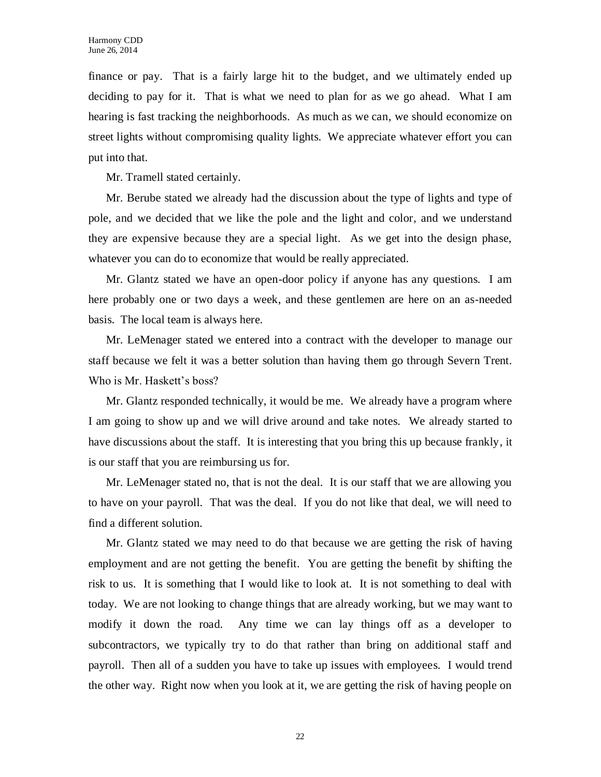finance or pay. That is a fairly large hit to the budget, and we ultimately ended up deciding to pay for it. That is what we need to plan for as we go ahead. What I am hearing is fast tracking the neighborhoods. As much as we can, we should economize on street lights without compromising quality lights. We appreciate whatever effort you can put into that.

Mr. Tramell stated certainly.

Mr. Berube stated we already had the discussion about the type of lights and type of pole, and we decided that we like the pole and the light and color, and we understand they are expensive because they are a special light. As we get into the design phase, whatever you can do to economize that would be really appreciated.

Mr. Glantz stated we have an open-door policy if anyone has any questions. I am here probably one or two days a week, and these gentlemen are here on an as-needed basis. The local team is always here.

Mr. LeMenager stated we entered into a contract with the developer to manage our staff because we felt it was a better solution than having them go through Severn Trent. Who is Mr. Haskett's boss?

Mr. Glantz responded technically, it would be me. We already have a program where I am going to show up and we will drive around and take notes. We already started to have discussions about the staff. It is interesting that you bring this up because frankly, it is our staff that you are reimbursing us for.

Mr. LeMenager stated no, that is not the deal. It is our staff that we are allowing you to have on your payroll. That was the deal. If you do not like that deal, we will need to find a different solution.

Mr. Glantz stated we may need to do that because we are getting the risk of having employment and are not getting the benefit. You are getting the benefit by shifting the risk to us. It is something that I would like to look at. It is not something to deal with today. We are not looking to change things that are already working, but we may want to modify it down the road. Any time we can lay things off as a developer to subcontractors, we typically try to do that rather than bring on additional staff and payroll. Then all of a sudden you have to take up issues with employees. I would trend the other way. Right now when you look at it, we are getting the risk of having people on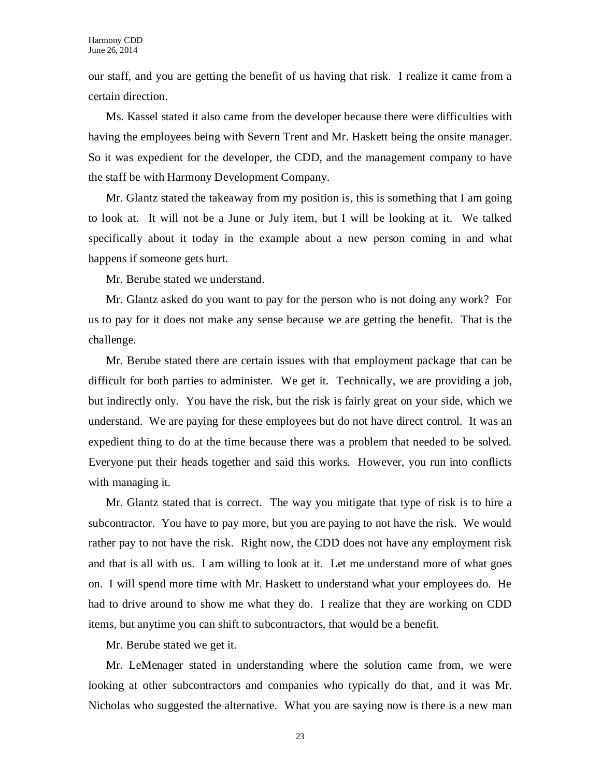our staff, and you are getting the benefit of us having that risk. I realize it came from a certain direction.

Ms. Kassel stated it also came from the developer because there were difficulties with having the employees being with Severn Trent and Mr. Haskett being the onsite manager. So it was expedient for the developer, the CDD, and the management company to have the staff be with Harmony Development Company.

Mr. Glantz stated the takeaway from my position is, this is something that I am going to look at. It will not be a June or July item, but I will be looking at it. We talked specifically about it today in the example about a new person coming in and what happens if someone gets hurt.

Mr. Berube stated we understand.

Mr. Glantz asked do you want to pay for the person who is not doing any work? For us to pay for it does not make any sense because we are getting the benefit. That is the challenge.

Mr. Berube stated there are certain issues with that employment package that can be difficult for both parties to administer. We get it. Technically, we are providing a job, but indirectly only. You have the risk, but the risk is fairly great on your side, which we understand. We are paying for these employees but do not have direct control. It was an expedient thing to do at the time because there was a problem that needed to be solved. Everyone put their heads together and said this works. However, you run into conflicts with managing it.

Mr. Glantz stated that is correct. The way you mitigate that type of risk is to hire a subcontractor. You have to pay more, but you are paying to not have the risk. We would rather pay to not have the risk. Right now, the CDD does not have any employment risk and that is all with us. I am willing to look at it. Let me understand more of what goes on. I will spend more time with Mr. Haskett to understand what your employees do. He had to drive around to show me what they do. I realize that they are working on CDD items, but anytime you can shift to subcontractors, that would be a benefit.

Mr. Berube stated we get it.

Mr. LeMenager stated in understanding where the solution came from, we were looking at other subcontractors and companies who typically do that, and it was Mr. Nicholas who suggested the alternative. What you are saying now is there is a new man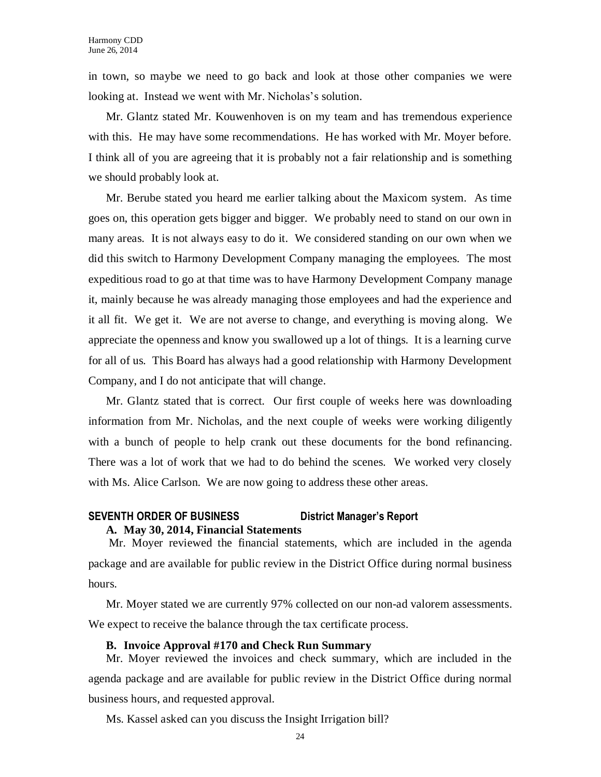in town, so maybe we need to go back and look at those other companies we were looking at. Instead we went with Mr. Nicholas's solution.

Mr. Glantz stated Mr. Kouwenhoven is on my team and has tremendous experience with this. He may have some recommendations. He has worked with Mr. Moyer before. I think all of you are agreeing that it is probably not a fair relationship and is something we should probably look at.

Mr. Berube stated you heard me earlier talking about the Maxicom system. As time goes on, this operation gets bigger and bigger. We probably need to stand on our own in many areas. It is not always easy to do it. We considered standing on our own when we did this switch to Harmony Development Company managing the employees. The most expeditious road to go at that time was to have Harmony Development Company manage it, mainly because he was already managing those employees and had the experience and it all fit. We get it. We are not averse to change, and everything is moving along. We appreciate the openness and know you swallowed up a lot of things. It is a learning curve for all of us. This Board has always had a good relationship with Harmony Development Company, and I do not anticipate that will change.

Mr. Glantz stated that is correct. Our first couple of weeks here was downloading information from Mr. Nicholas, and the next couple of weeks were working diligently with a bunch of people to help crank out these documents for the bond refinancing. There was a lot of work that we had to do behind the scenes. We worked very closely with Ms. Alice Carlson. We are now going to address these other areas.

# **SEVENTH ORDER OF BUSINESS District Manager's Report**

## **A. May 30, 2014, Financial Statements**

Mr. Moyer reviewed the financial statements, which are included in the agenda package and are available for public review in the District Office during normal business hours.

Mr. Moyer stated we are currently 97% collected on our non-ad valorem assessments. We expect to receive the balance through the tax certificate process.

# **B. Invoice Approval #170 and Check Run Summary**

Mr. Moyer reviewed the invoices and check summary, which are included in the agenda package and are available for public review in the District Office during normal business hours, and requested approval.

Ms. Kassel asked can you discuss the Insight Irrigation bill?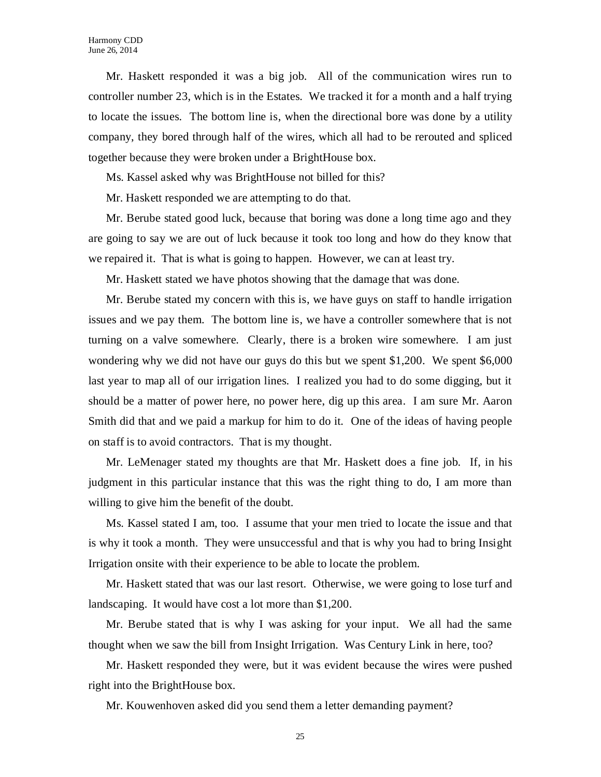Mr. Haskett responded it was a big job. All of the communication wires run to controller number 23, which is in the Estates. We tracked it for a month and a half trying to locate the issues. The bottom line is, when the directional bore was done by a utility company, they bored through half of the wires, which all had to be rerouted and spliced together because they were broken under a BrightHouse box.

Ms. Kassel asked why was BrightHouse not billed for this?

Mr. Haskett responded we are attempting to do that.

Mr. Berube stated good luck, because that boring was done a long time ago and they are going to say we are out of luck because it took too long and how do they know that we repaired it. That is what is going to happen. However, we can at least try.

Mr. Haskett stated we have photos showing that the damage that was done.

Mr. Berube stated my concern with this is, we have guys on staff to handle irrigation issues and we pay them. The bottom line is, we have a controller somewhere that is not turning on a valve somewhere. Clearly, there is a broken wire somewhere. I am just wondering why we did not have our guys do this but we spent \$1,200. We spent \$6,000 last year to map all of our irrigation lines. I realized you had to do some digging, but it should be a matter of power here, no power here, dig up this area. I am sure Mr. Aaron Smith did that and we paid a markup for him to do it. One of the ideas of having people on staff is to avoid contractors. That is my thought.

Mr. LeMenager stated my thoughts are that Mr. Haskett does a fine job. If, in his judgment in this particular instance that this was the right thing to do, I am more than willing to give him the benefit of the doubt.

Ms. Kassel stated I am, too. I assume that your men tried to locate the issue and that is why it took a month. They were unsuccessful and that is why you had to bring Insight Irrigation onsite with their experience to be able to locate the problem.

Mr. Haskett stated that was our last resort. Otherwise, we were going to lose turf and landscaping. It would have cost a lot more than \$1,200.

Mr. Berube stated that is why I was asking for your input. We all had the same thought when we saw the bill from Insight Irrigation. Was Century Link in here, too?

Mr. Haskett responded they were, but it was evident because the wires were pushed right into the BrightHouse box.

Mr. Kouwenhoven asked did you send them a letter demanding payment?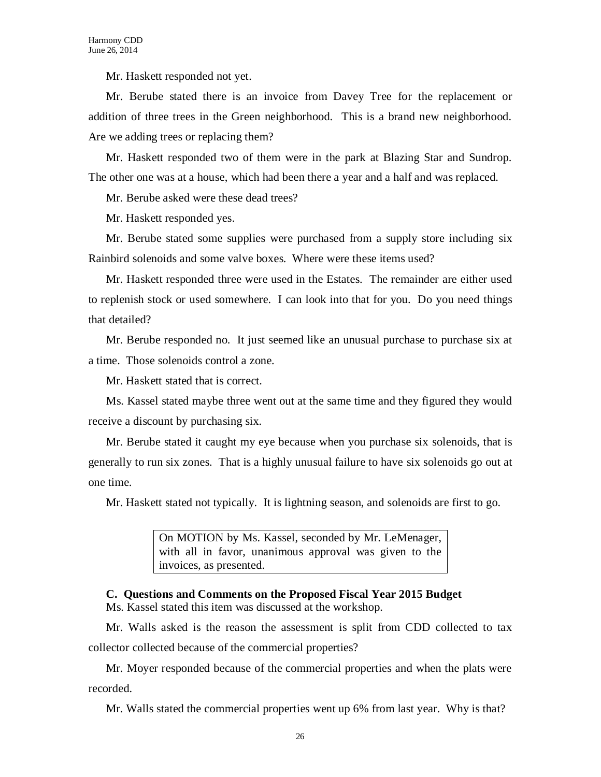Mr. Haskett responded not yet.

Mr. Berube stated there is an invoice from Davey Tree for the replacement or addition of three trees in the Green neighborhood. This is a brand new neighborhood. Are we adding trees or replacing them?

Mr. Haskett responded two of them were in the park at Blazing Star and Sundrop. The other one was at a house, which had been there a year and a half and was replaced.

Mr. Berube asked were these dead trees?

Mr. Haskett responded yes.

Mr. Berube stated some supplies were purchased from a supply store including six Rainbird solenoids and some valve boxes. Where were these items used?

Mr. Haskett responded three were used in the Estates. The remainder are either used to replenish stock or used somewhere. I can look into that for you. Do you need things that detailed?

Mr. Berube responded no. It just seemed like an unusual purchase to purchase six at a time. Those solenoids control a zone.

Mr. Haskett stated that is correct.

Ms. Kassel stated maybe three went out at the same time and they figured they would receive a discount by purchasing six.

Mr. Berube stated it caught my eye because when you purchase six solenoids, that is generally to run six zones. That is a highly unusual failure to have six solenoids go out at one time.

Mr. Haskett stated not typically. It is lightning season, and solenoids are first to go.

On MOTION by Ms. Kassel, seconded by Mr. LeMenager, with all in favor, unanimous approval was given to the invoices, as presented.

**C. Questions and Comments on the Proposed Fiscal Year 2015 Budget** Ms. Kassel stated this item was discussed at the workshop.

Mr. Walls asked is the reason the assessment is split from CDD collected to tax collector collected because of the commercial properties?

Mr. Moyer responded because of the commercial properties and when the plats were recorded.

Mr. Walls stated the commercial properties went up 6% from last year. Why is that?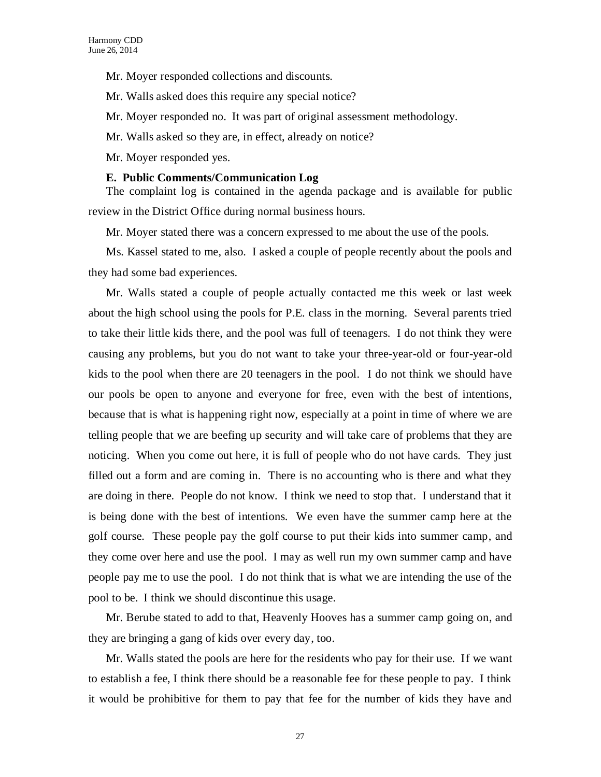Mr. Moyer responded collections and discounts.

Mr. Walls asked does this require any special notice?

Mr. Moyer responded no. It was part of original assessment methodology.

Mr. Walls asked so they are, in effect, already on notice?

Mr. Moyer responded yes.

# **E. Public Comments/Communication Log**

The complaint log is contained in the agenda package and is available for public review in the District Office during normal business hours.

Mr. Moyer stated there was a concern expressed to me about the use of the pools.

Ms. Kassel stated to me, also. I asked a couple of people recently about the pools and they had some bad experiences.

Mr. Walls stated a couple of people actually contacted me this week or last week about the high school using the pools for P.E. class in the morning. Several parents tried to take their little kids there, and the pool was full of teenagers. I do not think they were causing any problems, but you do not want to take your three-year-old or four-year-old kids to the pool when there are 20 teenagers in the pool. I do not think we should have our pools be open to anyone and everyone for free, even with the best of intentions, because that is what is happening right now, especially at a point in time of where we are telling people that we are beefing up security and will take care of problems that they are noticing. When you come out here, it is full of people who do not have cards. They just filled out a form and are coming in. There is no accounting who is there and what they are doing in there. People do not know. I think we need to stop that. I understand that it is being done with the best of intentions. We even have the summer camp here at the golf course. These people pay the golf course to put their kids into summer camp, and they come over here and use the pool. I may as well run my own summer camp and have people pay me to use the pool. I do not think that is what we are intending the use of the pool to be. I think we should discontinue this usage.

Mr. Berube stated to add to that, Heavenly Hooves has a summer camp going on, and they are bringing a gang of kids over every day, too.

Mr. Walls stated the pools are here for the residents who pay for their use. If we want to establish a fee, I think there should be a reasonable fee for these people to pay. I think it would be prohibitive for them to pay that fee for the number of kids they have and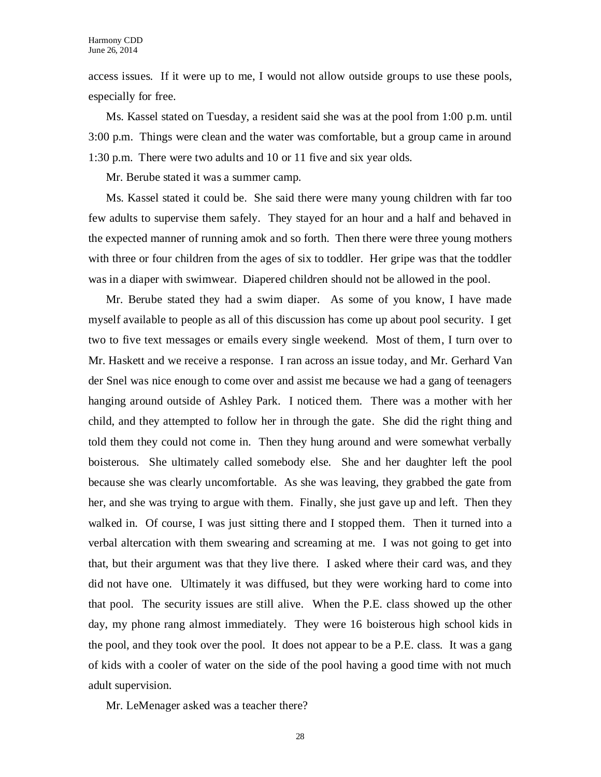access issues. If it were up to me, I would not allow outside groups to use these pools, especially for free.

Ms. Kassel stated on Tuesday, a resident said she was at the pool from 1:00 p.m. until 3:00 p.m. Things were clean and the water was comfortable, but a group came in around 1:30 p.m. There were two adults and 10 or 11 five and six year olds.

Mr. Berube stated it was a summer camp.

Ms. Kassel stated it could be. She said there were many young children with far too few adults to supervise them safely. They stayed for an hour and a half and behaved in the expected manner of running amok and so forth. Then there were three young mothers with three or four children from the ages of six to toddler. Her gripe was that the toddler was in a diaper with swimwear. Diapered children should not be allowed in the pool.

Mr. Berube stated they had a swim diaper. As some of you know, I have made myself available to people as all of this discussion has come up about pool security. I get two to five text messages or emails every single weekend. Most of them, I turn over to Mr. Haskett and we receive a response. I ran across an issue today, and Mr. Gerhard Van der Snel was nice enough to come over and assist me because we had a gang of teenagers hanging around outside of Ashley Park. I noticed them. There was a mother with her child, and they attempted to follow her in through the gate. She did the right thing and told them they could not come in. Then they hung around and were somewhat verbally boisterous. She ultimately called somebody else. She and her daughter left the pool because she was clearly uncomfortable. As she was leaving, they grabbed the gate from her, and she was trying to argue with them. Finally, she just gave up and left. Then they walked in. Of course, I was just sitting there and I stopped them. Then it turned into a verbal altercation with them swearing and screaming at me. I was not going to get into that, but their argument was that they live there. I asked where their card was, and they did not have one. Ultimately it was diffused, but they were working hard to come into that pool. The security issues are still alive. When the P.E. class showed up the other day, my phone rang almost immediately. They were 16 boisterous high school kids in the pool, and they took over the pool. It does not appear to be a P.E. class. It was a gang of kids with a cooler of water on the side of the pool having a good time with not much adult supervision.

Mr. LeMenager asked was a teacher there?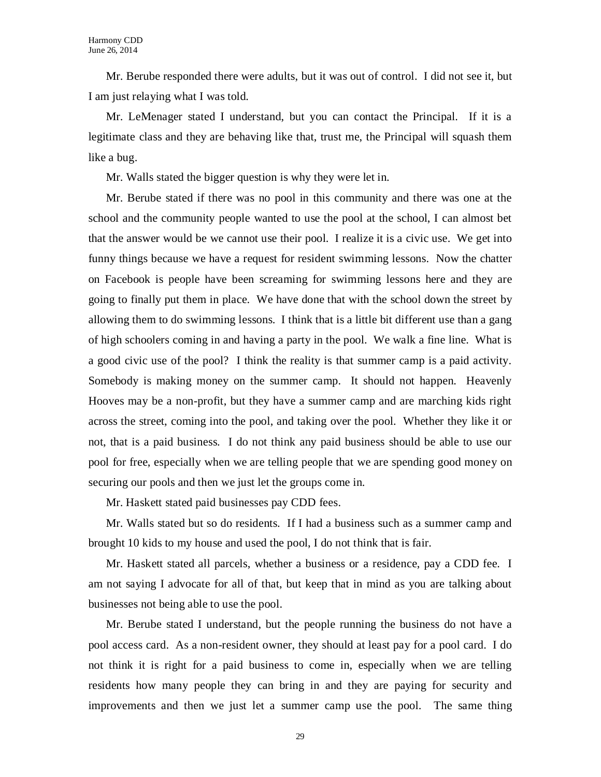Mr. Berube responded there were adults, but it was out of control. I did not see it, but I am just relaying what I was told.

Mr. LeMenager stated I understand, but you can contact the Principal. If it is a legitimate class and they are behaving like that, trust me, the Principal will squash them like a bug.

Mr. Walls stated the bigger question is why they were let in.

Mr. Berube stated if there was no pool in this community and there was one at the school and the community people wanted to use the pool at the school, I can almost bet that the answer would be we cannot use their pool. I realize it is a civic use. We get into funny things because we have a request for resident swimming lessons. Now the chatter on Facebook is people have been screaming for swimming lessons here and they are going to finally put them in place. We have done that with the school down the street by allowing them to do swimming lessons. I think that is a little bit different use than a gang of high schoolers coming in and having a party in the pool. We walk a fine line. What is a good civic use of the pool? I think the reality is that summer camp is a paid activity. Somebody is making money on the summer camp. It should not happen. Heavenly Hooves may be a non-profit, but they have a summer camp and are marching kids right across the street, coming into the pool, and taking over the pool. Whether they like it or not, that is a paid business. I do not think any paid business should be able to use our pool for free, especially when we are telling people that we are spending good money on securing our pools and then we just let the groups come in.

Mr. Haskett stated paid businesses pay CDD fees.

Mr. Walls stated but so do residents. If I had a business such as a summer camp and brought 10 kids to my house and used the pool, I do not think that is fair.

Mr. Haskett stated all parcels, whether a business or a residence, pay a CDD fee. I am not saying I advocate for all of that, but keep that in mind as you are talking about businesses not being able to use the pool.

Mr. Berube stated I understand, but the people running the business do not have a pool access card. As a non-resident owner, they should at least pay for a pool card. I do not think it is right for a paid business to come in, especially when we are telling residents how many people they can bring in and they are paying for security and improvements and then we just let a summer camp use the pool. The same thing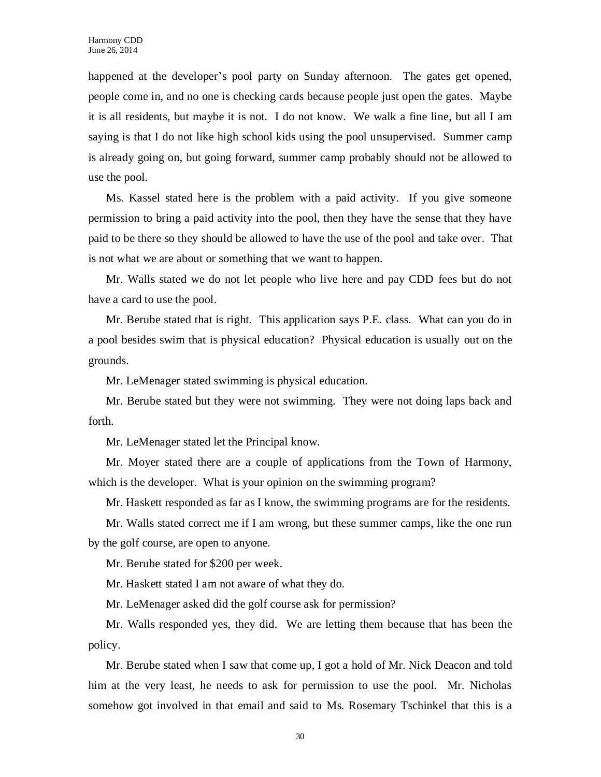happened at the developer's pool party on Sunday afternoon. The gates get opened, people come in, and no one is checking cards because people just open the gates. Maybe it is all residents, but maybe it is not. I do not know. We walk a fine line, but all I am saying is that I do not like high school kids using the pool unsupervised. Summer camp is already going on, but going forward, summer camp probably should not be allowed to use the pool.

Ms. Kassel stated here is the problem with a paid activity. If you give someone permission to bring a paid activity into the pool, then they have the sense that they have paid to be there so they should be allowed to have the use of the pool and take over. That is not what we are about or something that we want to happen.

Mr. Walls stated we do not let people who live here and pay CDD fees but do not have a card to use the pool.

Mr. Berube stated that is right. This application says P.E. class. What can you do in a pool besides swim that is physical education? Physical education is usually out on the grounds.

Mr. LeMenager stated swimming is physical education.

Mr. Berube stated but they were not swimming. They were not doing laps back and forth.

Mr. LeMenager stated let the Principal know.

Mr. Moyer stated there are a couple of applications from the Town of Harmony, which is the developer. What is your opinion on the swimming program?

Mr. Haskett responded as far as I know, the swimming programs are for the residents.

Mr. Walls stated correct me if I am wrong, but these summer camps, like the one run by the golf course, are open to anyone.

Mr. Berube stated for \$200 per week.

Mr. Haskett stated I am not aware of what they do.

Mr. LeMenager asked did the golf course ask for permission?

Mr. Walls responded yes, they did. We are letting them because that has been the policy.

Mr. Berube stated when I saw that come up, I got a hold of Mr. Nick Deacon and told him at the very least, he needs to ask for permission to use the pool. Mr. Nicholas somehow got involved in that email and said to Ms. Rosemary Tschinkel that this is a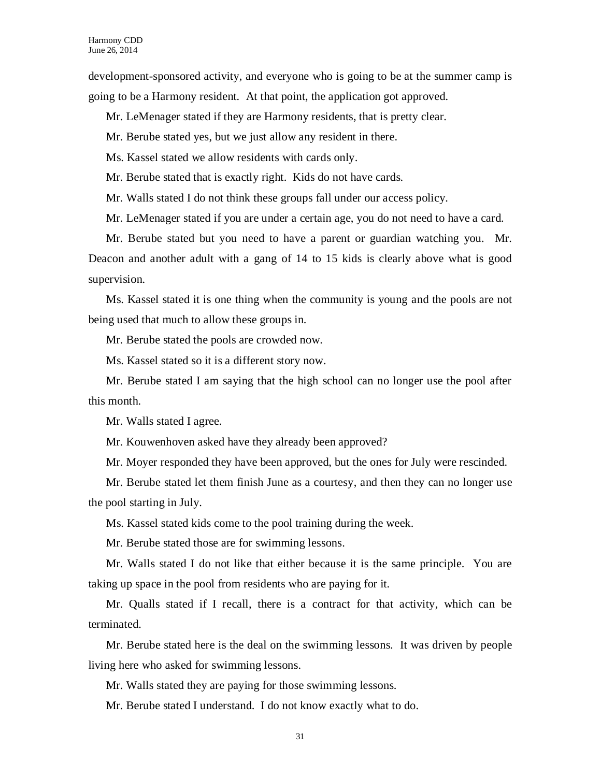development-sponsored activity, and everyone who is going to be at the summer camp is going to be a Harmony resident. At that point, the application got approved.

Mr. LeMenager stated if they are Harmony residents, that is pretty clear.

Mr. Berube stated yes, but we just allow any resident in there.

Ms. Kassel stated we allow residents with cards only.

Mr. Berube stated that is exactly right. Kids do not have cards.

Mr. Walls stated I do not think these groups fall under our access policy.

Mr. LeMenager stated if you are under a certain age, you do not need to have a card.

Mr. Berube stated but you need to have a parent or guardian watching you. Mr. Deacon and another adult with a gang of 14 to 15 kids is clearly above what is good supervision.

Ms. Kassel stated it is one thing when the community is young and the pools are not being used that much to allow these groups in.

Mr. Berube stated the pools are crowded now.

Ms. Kassel stated so it is a different story now.

Mr. Berube stated I am saying that the high school can no longer use the pool after this month.

Mr. Walls stated I agree.

Mr. Kouwenhoven asked have they already been approved?

Mr. Moyer responded they have been approved, but the ones for July were rescinded.

Mr. Berube stated let them finish June as a courtesy, and then they can no longer use the pool starting in July.

Ms. Kassel stated kids come to the pool training during the week.

Mr. Berube stated those are for swimming lessons.

Mr. Walls stated I do not like that either because it is the same principle. You are taking up space in the pool from residents who are paying for it.

Mr. Qualls stated if I recall, there is a contract for that activity, which can be terminated.

Mr. Berube stated here is the deal on the swimming lessons. It was driven by people living here who asked for swimming lessons.

Mr. Walls stated they are paying for those swimming lessons.

Mr. Berube stated I understand. I do not know exactly what to do.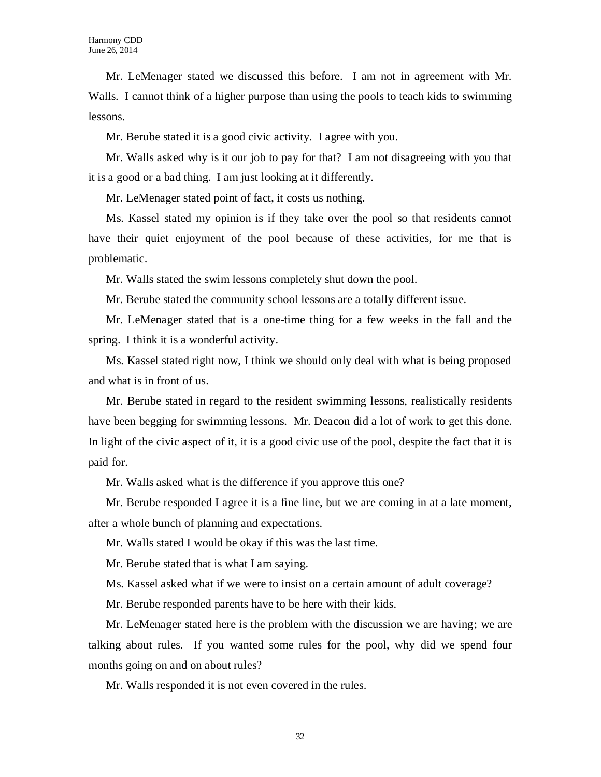Mr. LeMenager stated we discussed this before. I am not in agreement with Mr. Walls. I cannot think of a higher purpose than using the pools to teach kids to swimming lessons.

Mr. Berube stated it is a good civic activity. I agree with you.

Mr. Walls asked why is it our job to pay for that? I am not disagreeing with you that it is a good or a bad thing. I am just looking at it differently.

Mr. LeMenager stated point of fact, it costs us nothing.

Ms. Kassel stated my opinion is if they take over the pool so that residents cannot have their quiet enjoyment of the pool because of these activities, for me that is problematic.

Mr. Walls stated the swim lessons completely shut down the pool.

Mr. Berube stated the community school lessons are a totally different issue.

Mr. LeMenager stated that is a one-time thing for a few weeks in the fall and the spring. I think it is a wonderful activity.

Ms. Kassel stated right now, I think we should only deal with what is being proposed and what is in front of us.

Mr. Berube stated in regard to the resident swimming lessons, realistically residents have been begging for swimming lessons. Mr. Deacon did a lot of work to get this done. In light of the civic aspect of it, it is a good civic use of the pool, despite the fact that it is paid for.

Mr. Walls asked what is the difference if you approve this one?

Mr. Berube responded I agree it is a fine line, but we are coming in at a late moment, after a whole bunch of planning and expectations.

Mr. Walls stated I would be okay if this was the last time.

Mr. Berube stated that is what I am saying.

Ms. Kassel asked what if we were to insist on a certain amount of adult coverage?

Mr. Berube responded parents have to be here with their kids.

Mr. LeMenager stated here is the problem with the discussion we are having; we are talking about rules. If you wanted some rules for the pool, why did we spend four months going on and on about rules?

Mr. Walls responded it is not even covered in the rules.

32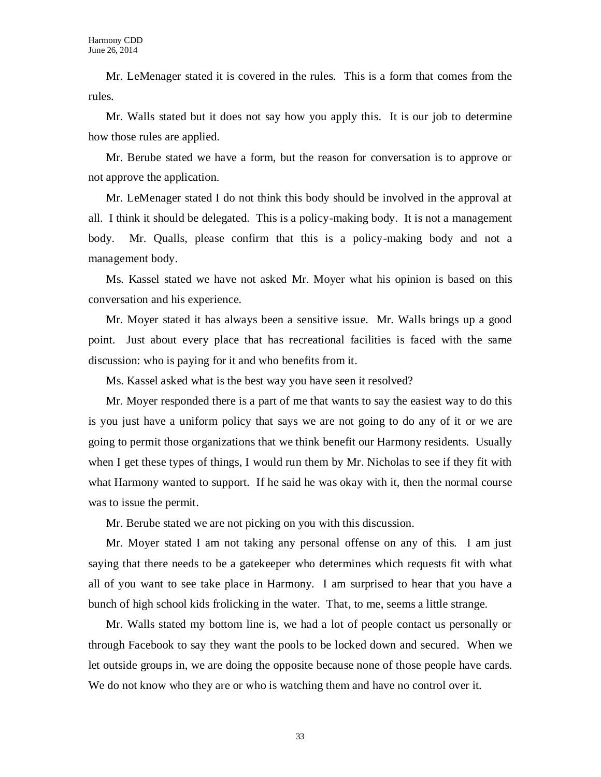Mr. LeMenager stated it is covered in the rules. This is a form that comes from the rules.

Mr. Walls stated but it does not say how you apply this. It is our job to determine how those rules are applied.

Mr. Berube stated we have a form, but the reason for conversation is to approve or not approve the application.

Mr. LeMenager stated I do not think this body should be involved in the approval at all. I think it should be delegated. This is a policy-making body. It is not a management body. Mr. Qualls, please confirm that this is a policy-making body and not a management body.

Ms. Kassel stated we have not asked Mr. Moyer what his opinion is based on this conversation and his experience.

Mr. Moyer stated it has always been a sensitive issue. Mr. Walls brings up a good point. Just about every place that has recreational facilities is faced with the same discussion: who is paying for it and who benefits from it.

Ms. Kassel asked what is the best way you have seen it resolved?

Mr. Moyer responded there is a part of me that wants to say the easiest way to do this is you just have a uniform policy that says we are not going to do any of it or we are going to permit those organizations that we think benefit our Harmony residents. Usually when I get these types of things, I would run them by Mr. Nicholas to see if they fit with what Harmony wanted to support. If he said he was okay with it, then the normal course was to issue the permit.

Mr. Berube stated we are not picking on you with this discussion.

Mr. Moyer stated I am not taking any personal offense on any of this. I am just saying that there needs to be a gatekeeper who determines which requests fit with what all of you want to see take place in Harmony. I am surprised to hear that you have a bunch of high school kids frolicking in the water. That, to me, seems a little strange.

Mr. Walls stated my bottom line is, we had a lot of people contact us personally or through Facebook to say they want the pools to be locked down and secured. When we let outside groups in, we are doing the opposite because none of those people have cards. We do not know who they are or who is watching them and have no control over it.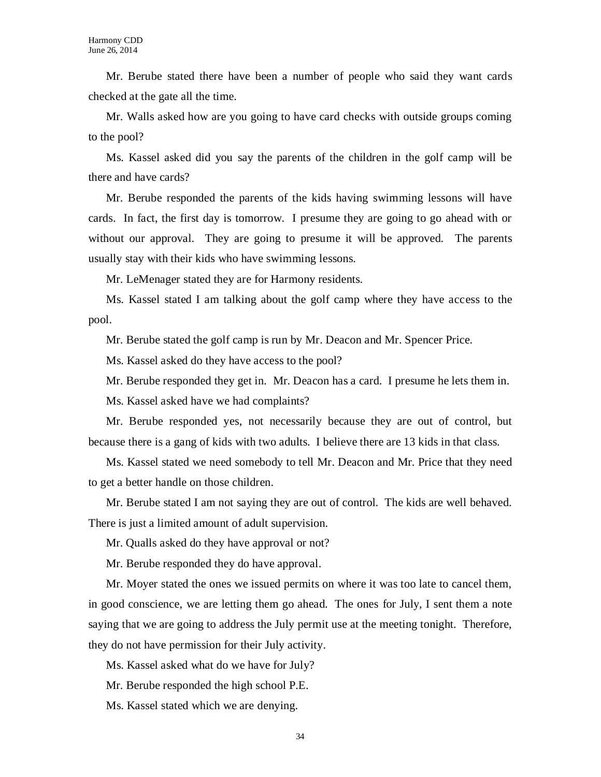Mr. Berube stated there have been a number of people who said they want cards checked at the gate all the time.

Mr. Walls asked how are you going to have card checks with outside groups coming to the pool?

Ms. Kassel asked did you say the parents of the children in the golf camp will be there and have cards?

Mr. Berube responded the parents of the kids having swimming lessons will have cards. In fact, the first day is tomorrow. I presume they are going to go ahead with or without our approval. They are going to presume it will be approved. The parents usually stay with their kids who have swimming lessons.

Mr. LeMenager stated they are for Harmony residents.

Ms. Kassel stated I am talking about the golf camp where they have access to the pool.

Mr. Berube stated the golf camp is run by Mr. Deacon and Mr. Spencer Price.

Ms. Kassel asked do they have access to the pool?

Mr. Berube responded they get in. Mr. Deacon has a card. I presume he lets them in.

Ms. Kassel asked have we had complaints?

Mr. Berube responded yes, not necessarily because they are out of control, but because there is a gang of kids with two adults. I believe there are 13 kids in that class.

Ms. Kassel stated we need somebody to tell Mr. Deacon and Mr. Price that they need to get a better handle on those children.

Mr. Berube stated I am not saying they are out of control. The kids are well behaved. There is just a limited amount of adult supervision.

Mr. Qualls asked do they have approval or not?

Mr. Berube responded they do have approval.

Mr. Moyer stated the ones we issued permits on where it was too late to cancel them, in good conscience, we are letting them go ahead. The ones for July, I sent them a note saying that we are going to address the July permit use at the meeting tonight. Therefore, they do not have permission for their July activity.

Ms. Kassel asked what do we have for July?

Mr. Berube responded the high school P.E.

Ms. Kassel stated which we are denying.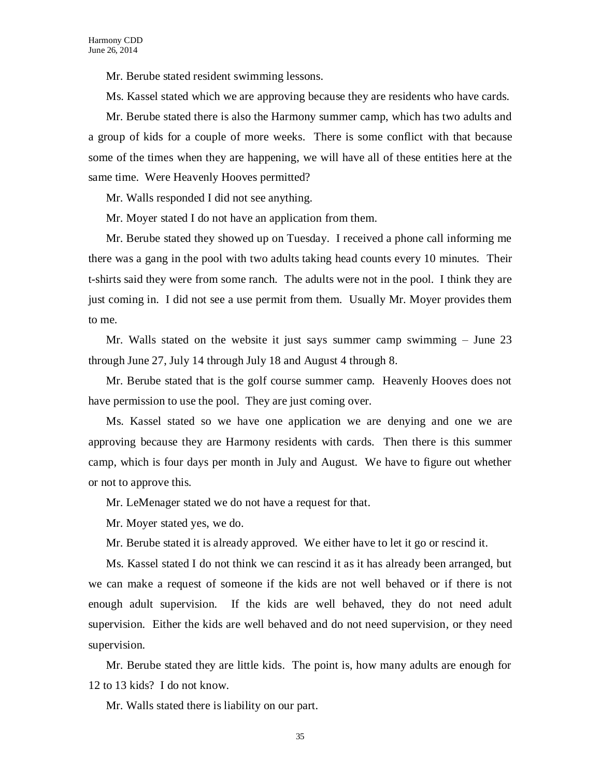Mr. Berube stated resident swimming lessons.

Ms. Kassel stated which we are approving because they are residents who have cards.

Mr. Berube stated there is also the Harmony summer camp, which has two adults and a group of kids for a couple of more weeks. There is some conflict with that because some of the times when they are happening, we will have all of these entities here at the same time. Were Heavenly Hooves permitted?

Mr. Walls responded I did not see anything.

Mr. Moyer stated I do not have an application from them.

Mr. Berube stated they showed up on Tuesday. I received a phone call informing me there was a gang in the pool with two adults taking head counts every 10 minutes. Their t-shirts said they were from some ranch. The adults were not in the pool. I think they are just coming in. I did not see a use permit from them. Usually Mr. Moyer provides them to me.

Mr. Walls stated on the website it just says summer camp swimming – June 23 through June 27, July 14 through July 18 and August 4 through 8.

Mr. Berube stated that is the golf course summer camp. Heavenly Hooves does not have permission to use the pool. They are just coming over.

Ms. Kassel stated so we have one application we are denying and one we are approving because they are Harmony residents with cards. Then there is this summer camp, which is four days per month in July and August. We have to figure out whether or not to approve this.

Mr. LeMenager stated we do not have a request for that.

Mr. Moyer stated yes, we do.

Mr. Berube stated it is already approved. We either have to let it go or rescind it.

Ms. Kassel stated I do not think we can rescind it as it has already been arranged, but we can make a request of someone if the kids are not well behaved or if there is not enough adult supervision. If the kids are well behaved, they do not need adult supervision. Either the kids are well behaved and do not need supervision, or they need supervision.

Mr. Berube stated they are little kids. The point is, how many adults are enough for 12 to 13 kids? I do not know.

Mr. Walls stated there is liability on our part.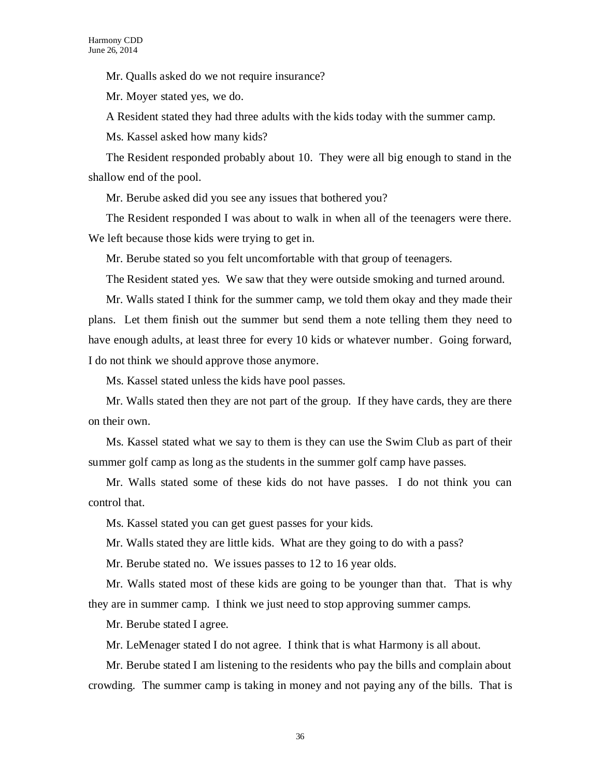Mr. Qualls asked do we not require insurance?

Mr. Moyer stated yes, we do.

A Resident stated they had three adults with the kids today with the summer camp.

Ms. Kassel asked how many kids?

The Resident responded probably about 10. They were all big enough to stand in the shallow end of the pool.

Mr. Berube asked did you see any issues that bothered you?

The Resident responded I was about to walk in when all of the teenagers were there. We left because those kids were trying to get in.

Mr. Berube stated so you felt uncomfortable with that group of teenagers.

The Resident stated yes. We saw that they were outside smoking and turned around.

Mr. Walls stated I think for the summer camp, we told them okay and they made their plans. Let them finish out the summer but send them a note telling them they need to have enough adults, at least three for every 10 kids or whatever number. Going forward, I do not think we should approve those anymore.

Ms. Kassel stated unless the kids have pool passes.

Mr. Walls stated then they are not part of the group. If they have cards, they are there on their own.

Ms. Kassel stated what we say to them is they can use the Swim Club as part of their summer golf camp as long as the students in the summer golf camp have passes.

Mr. Walls stated some of these kids do not have passes. I do not think you can control that.

Ms. Kassel stated you can get guest passes for your kids.

Mr. Walls stated they are little kids. What are they going to do with a pass?

Mr. Berube stated no. We issues passes to 12 to 16 year olds.

Mr. Walls stated most of these kids are going to be younger than that. That is why they are in summer camp. I think we just need to stop approving summer camps.

Mr. Berube stated I agree.

Mr. LeMenager stated I do not agree. I think that is what Harmony is all about.

Mr. Berube stated I am listening to the residents who pay the bills and complain about crowding. The summer camp is taking in money and not paying any of the bills. That is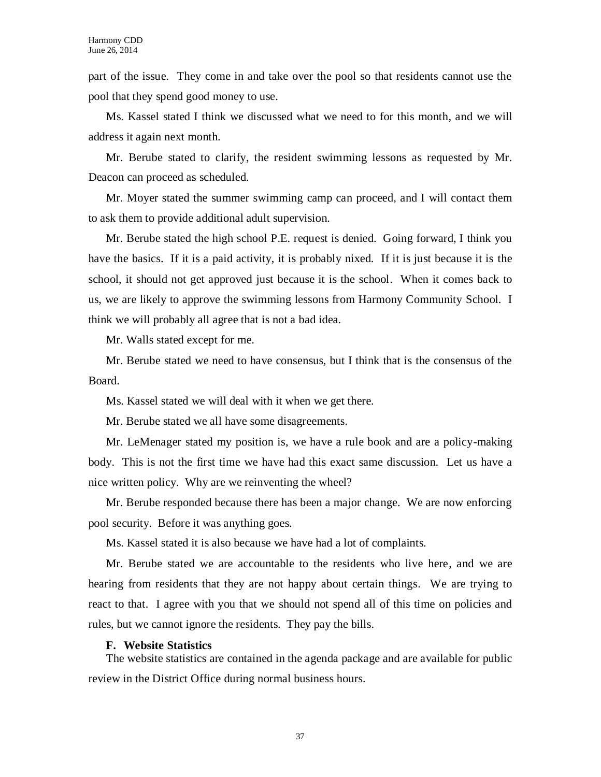part of the issue. They come in and take over the pool so that residents cannot use the pool that they spend good money to use.

Ms. Kassel stated I think we discussed what we need to for this month, and we will address it again next month.

Mr. Berube stated to clarify, the resident swimming lessons as requested by Mr. Deacon can proceed as scheduled.

Mr. Moyer stated the summer swimming camp can proceed, and I will contact them to ask them to provide additional adult supervision.

Mr. Berube stated the high school P.E. request is denied. Going forward, I think you have the basics. If it is a paid activity, it is probably nixed. If it is just because it is the school, it should not get approved just because it is the school. When it comes back to us, we are likely to approve the swimming lessons from Harmony Community School. I think we will probably all agree that is not a bad idea.

Mr. Walls stated except for me.

Mr. Berube stated we need to have consensus, but I think that is the consensus of the Board.

Ms. Kassel stated we will deal with it when we get there.

Mr. Berube stated we all have some disagreements.

Mr. LeMenager stated my position is, we have a rule book and are a policy-making body. This is not the first time we have had this exact same discussion. Let us have a nice written policy. Why are we reinventing the wheel?

Mr. Berube responded because there has been a major change. We are now enforcing pool security. Before it was anything goes.

Ms. Kassel stated it is also because we have had a lot of complaints.

Mr. Berube stated we are accountable to the residents who live here, and we are hearing from residents that they are not happy about certain things. We are trying to react to that. I agree with you that we should not spend all of this time on policies and rules, but we cannot ignore the residents. They pay the bills.

### **F. Website Statistics**

The website statistics are contained in the agenda package and are available for public review in the District Office during normal business hours.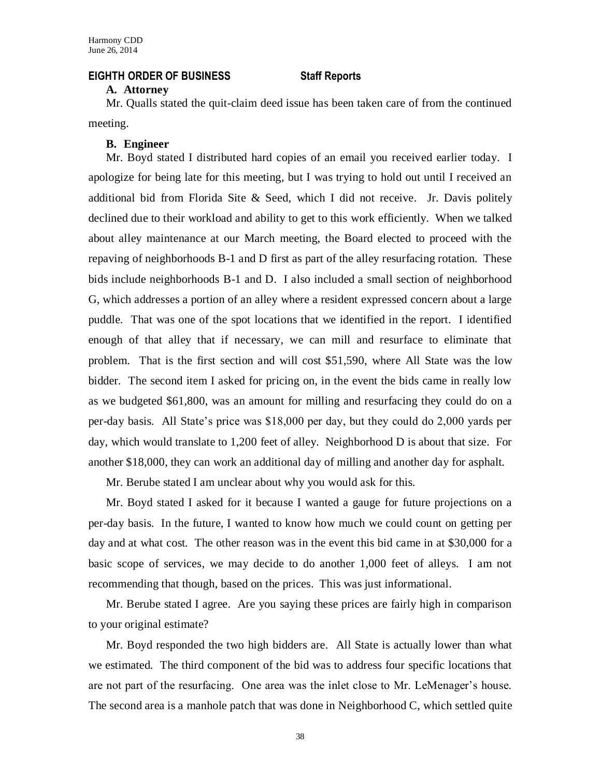### **EIGHTH ORDER OF BUSINESS Staff Reports**

#### **A. Attorney**

Mr. Qualls stated the quit-claim deed issue has been taken care of from the continued meeting.

# **B. Engineer**

Mr. Boyd stated I distributed hard copies of an email you received earlier today. I apologize for being late for this meeting, but I was trying to hold out until I received an additional bid from Florida Site & Seed, which I did not receive. Jr. Davis politely declined due to their workload and ability to get to this work efficiently. When we talked about alley maintenance at our March meeting, the Board elected to proceed with the repaving of neighborhoods B-1 and D first as part of the alley resurfacing rotation. These bids include neighborhoods B-1 and D. I also included a small section of neighborhood G, which addresses a portion of an alley where a resident expressed concern about a large puddle. That was one of the spot locations that we identified in the report. I identified enough of that alley that if necessary, we can mill and resurface to eliminate that problem. That is the first section and will cost \$51,590, where All State was the low bidder. The second item I asked for pricing on, in the event the bids came in really low as we budgeted \$61,800, was an amount for milling and resurfacing they could do on a per-day basis. All State's price was \$18,000 per day, but they could do 2,000 yards per day, which would translate to 1,200 feet of alley. Neighborhood D is about that size. For another \$18,000, they can work an additional day of milling and another day for asphalt.

Mr. Berube stated I am unclear about why you would ask for this.

Mr. Boyd stated I asked for it because I wanted a gauge for future projections on a per-day basis. In the future, I wanted to know how much we could count on getting per day and at what cost. The other reason was in the event this bid came in at \$30,000 for a basic scope of services, we may decide to do another 1,000 feet of alleys. I am not recommending that though, based on the prices. This was just informational.

Mr. Berube stated I agree. Are you saying these prices are fairly high in comparison to your original estimate?

Mr. Boyd responded the two high bidders are. All State is actually lower than what we estimated. The third component of the bid was to address four specific locations that are not part of the resurfacing. One area was the inlet close to Mr. LeMenager's house. The second area is a manhole patch that was done in Neighborhood C, which settled quite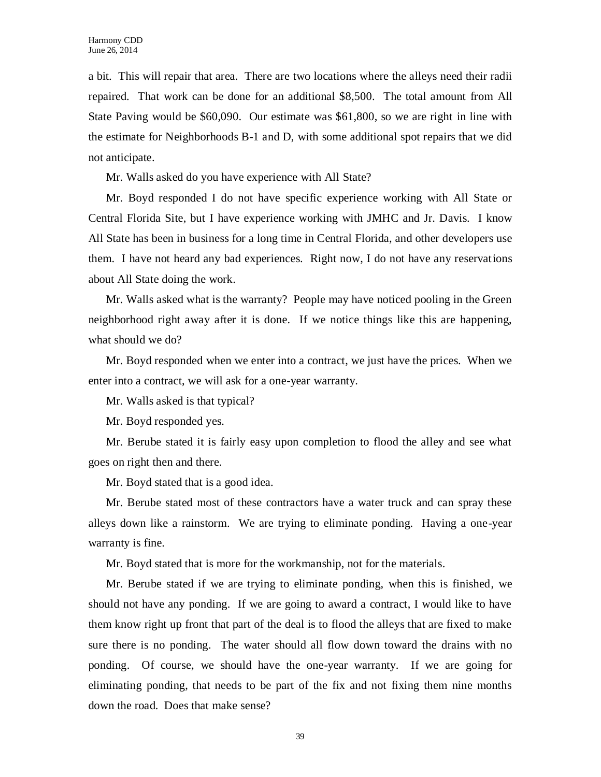a bit. This will repair that area. There are two locations where the alleys need their radii repaired. That work can be done for an additional \$8,500. The total amount from All State Paving would be \$60,090. Our estimate was \$61,800, so we are right in line with the estimate for Neighborhoods B-1 and D, with some additional spot repairs that we did not anticipate.

Mr. Walls asked do you have experience with All State?

Mr. Boyd responded I do not have specific experience working with All State or Central Florida Site, but I have experience working with JMHC and Jr. Davis. I know All State has been in business for a long time in Central Florida, and other developers use them. I have not heard any bad experiences. Right now, I do not have any reservations about All State doing the work.

Mr. Walls asked what is the warranty? People may have noticed pooling in the Green neighborhood right away after it is done. If we notice things like this are happening, what should we do?

Mr. Boyd responded when we enter into a contract, we just have the prices. When we enter into a contract, we will ask for a one-year warranty.

Mr. Walls asked is that typical?

Mr. Boyd responded yes.

Mr. Berube stated it is fairly easy upon completion to flood the alley and see what goes on right then and there.

Mr. Boyd stated that is a good idea.

Mr. Berube stated most of these contractors have a water truck and can spray these alleys down like a rainstorm. We are trying to eliminate ponding. Having a one-year warranty is fine.

Mr. Boyd stated that is more for the workmanship, not for the materials.

Mr. Berube stated if we are trying to eliminate ponding, when this is finished, we should not have any ponding. If we are going to award a contract, I would like to have them know right up front that part of the deal is to flood the alleys that are fixed to make sure there is no ponding. The water should all flow down toward the drains with no ponding. Of course, we should have the one-year warranty. If we are going for eliminating ponding, that needs to be part of the fix and not fixing them nine months down the road. Does that make sense?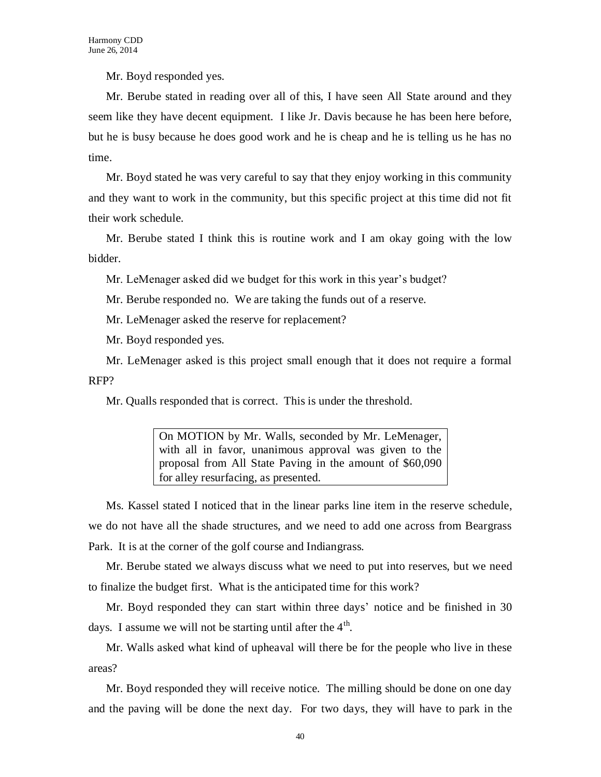Mr. Boyd responded yes.

Mr. Berube stated in reading over all of this, I have seen All State around and they seem like they have decent equipment. I like Jr. Davis because he has been here before, but he is busy because he does good work and he is cheap and he is telling us he has no time.

Mr. Boyd stated he was very careful to say that they enjoy working in this community and they want to work in the community, but this specific project at this time did not fit their work schedule.

Mr. Berube stated I think this is routine work and I am okay going with the low bidder.

Mr. LeMenager asked did we budget for this work in this year's budget?

Mr. Berube responded no. We are taking the funds out of a reserve.

Mr. LeMenager asked the reserve for replacement?

Mr. Boyd responded yes.

Mr. LeMenager asked is this project small enough that it does not require a formal RFP?

Mr. Qualls responded that is correct. This is under the threshold.

On MOTION by Mr. Walls, seconded by Mr. LeMenager, with all in favor, unanimous approval was given to the proposal from All State Paving in the amount of \$60,090 for alley resurfacing, as presented.

Ms. Kassel stated I noticed that in the linear parks line item in the reserve schedule, we do not have all the shade structures, and we need to add one across from Beargrass Park. It is at the corner of the golf course and Indiangrass.

Mr. Berube stated we always discuss what we need to put into reserves, but we need to finalize the budget first. What is the anticipated time for this work?

Mr. Boyd responded they can start within three days' notice and be finished in 30 days. I assume we will not be starting until after the  $4<sup>th</sup>$ .

Mr. Walls asked what kind of upheaval will there be for the people who live in these areas?

Mr. Boyd responded they will receive notice. The milling should be done on one day and the paving will be done the next day. For two days, they will have to park in the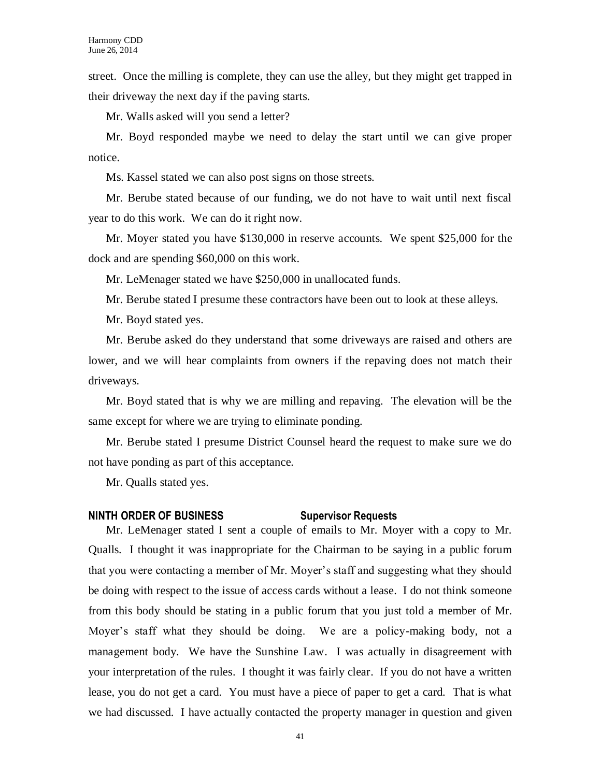street. Once the milling is complete, they can use the alley, but they might get trapped in their driveway the next day if the paving starts.

Mr. Walls asked will you send a letter?

Mr. Boyd responded maybe we need to delay the start until we can give proper notice.

Ms. Kassel stated we can also post signs on those streets.

Mr. Berube stated because of our funding, we do not have to wait until next fiscal year to do this work. We can do it right now.

Mr. Moyer stated you have \$130,000 in reserve accounts. We spent \$25,000 for the dock and are spending \$60,000 on this work.

Mr. LeMenager stated we have \$250,000 in unallocated funds.

Mr. Berube stated I presume these contractors have been out to look at these alleys.

Mr. Boyd stated yes.

Mr. Berube asked do they understand that some driveways are raised and others are lower, and we will hear complaints from owners if the repaving does not match their driveways.

Mr. Boyd stated that is why we are milling and repaving. The elevation will be the same except for where we are trying to eliminate ponding.

Mr. Berube stated I presume District Counsel heard the request to make sure we do not have ponding as part of this acceptance.

Mr. Qualls stated yes.

## **NINTH ORDER OF BUSINESS Supervisor Requests**

Mr. LeMenager stated I sent a couple of emails to Mr. Moyer with a copy to Mr. Qualls. I thought it was inappropriate for the Chairman to be saying in a public forum that you were contacting a member of Mr. Moyer's staff and suggesting what they should be doing with respect to the issue of access cards without a lease. I do not think someone from this body should be stating in a public forum that you just told a member of Mr. Moyer's staff what they should be doing. We are a policy-making body, not a management body. We have the Sunshine Law. I was actually in disagreement with your interpretation of the rules. I thought it was fairly clear. If you do not have a written lease, you do not get a card. You must have a piece of paper to get a card. That is what we had discussed. I have actually contacted the property manager in question and given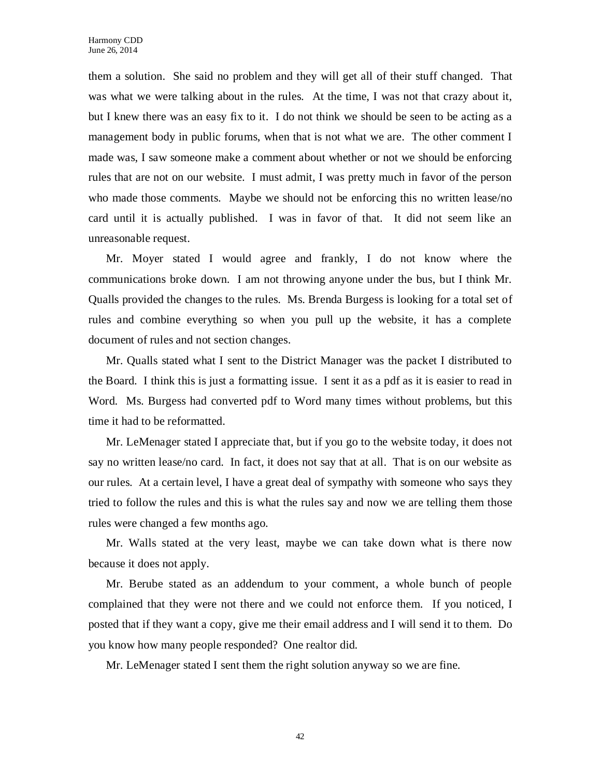them a solution. She said no problem and they will get all of their stuff changed. That was what we were talking about in the rules. At the time, I was not that crazy about it, but I knew there was an easy fix to it. I do not think we should be seen to be acting as a management body in public forums, when that is not what we are. The other comment I made was, I saw someone make a comment about whether or not we should be enforcing rules that are not on our website. I must admit, I was pretty much in favor of the person who made those comments. Maybe we should not be enforcing this no written lease/no card until it is actually published. I was in favor of that. It did not seem like an unreasonable request.

Mr. Moyer stated I would agree and frankly, I do not know where the communications broke down. I am not throwing anyone under the bus, but I think Mr. Qualls provided the changes to the rules. Ms. Brenda Burgess is looking for a total set of rules and combine everything so when you pull up the website, it has a complete document of rules and not section changes.

Mr. Qualls stated what I sent to the District Manager was the packet I distributed to the Board. I think this is just a formatting issue. I sent it as a pdf as it is easier to read in Word. Ms. Burgess had converted pdf to Word many times without problems, but this time it had to be reformatted.

Mr. LeMenager stated I appreciate that, but if you go to the website today, it does not say no written lease/no card. In fact, it does not say that at all. That is on our website as our rules. At a certain level, I have a great deal of sympathy with someone who says they tried to follow the rules and this is what the rules say and now we are telling them those rules were changed a few months ago.

Mr. Walls stated at the very least, maybe we can take down what is there now because it does not apply.

Mr. Berube stated as an addendum to your comment, a whole bunch of people complained that they were not there and we could not enforce them. If you noticed, I posted that if they want a copy, give me their email address and I will send it to them. Do you know how many people responded? One realtor did.

Mr. LeMenager stated I sent them the right solution anyway so we are fine.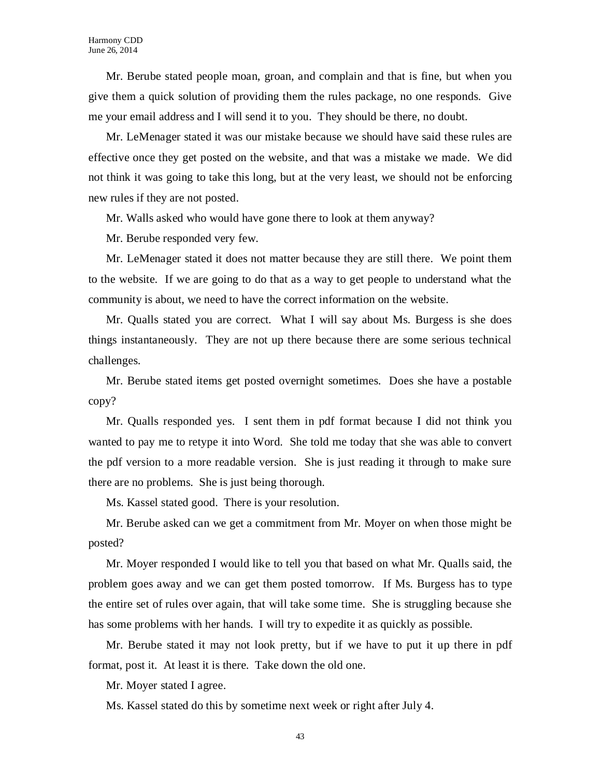Mr. Berube stated people moan, groan, and complain and that is fine, but when you give them a quick solution of providing them the rules package, no one responds. Give me your email address and I will send it to you. They should be there, no doubt.

Mr. LeMenager stated it was our mistake because we should have said these rules are effective once they get posted on the website, and that was a mistake we made. We did not think it was going to take this long, but at the very least, we should not be enforcing new rules if they are not posted.

Mr. Walls asked who would have gone there to look at them anyway?

Mr. Berube responded very few.

Mr. LeMenager stated it does not matter because they are still there. We point them to the website. If we are going to do that as a way to get people to understand what the community is about, we need to have the correct information on the website.

Mr. Qualls stated you are correct. What I will say about Ms. Burgess is she does things instantaneously. They are not up there because there are some serious technical challenges.

Mr. Berube stated items get posted overnight sometimes. Does she have a postable copy?

Mr. Qualls responded yes. I sent them in pdf format because I did not think you wanted to pay me to retype it into Word. She told me today that she was able to convert the pdf version to a more readable version. She is just reading it through to make sure there are no problems. She is just being thorough.

Ms. Kassel stated good. There is your resolution.

Mr. Berube asked can we get a commitment from Mr. Moyer on when those might be posted?

Mr. Moyer responded I would like to tell you that based on what Mr. Qualls said, the problem goes away and we can get them posted tomorrow. If Ms. Burgess has to type the entire set of rules over again, that will take some time. She is struggling because she has some problems with her hands. I will try to expedite it as quickly as possible.

Mr. Berube stated it may not look pretty, but if we have to put it up there in pdf format, post it. At least it is there. Take down the old one.

Mr. Moyer stated I agree.

Ms. Kassel stated do this by sometime next week or right after July 4.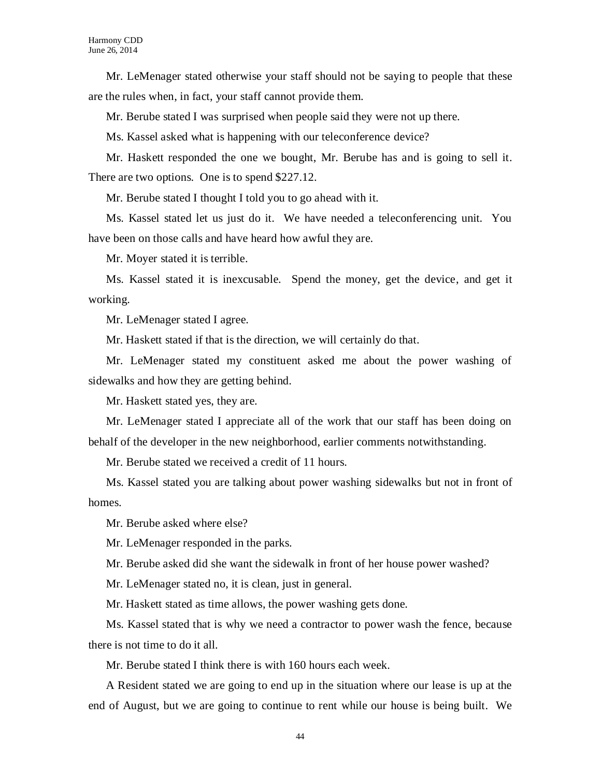Mr. LeMenager stated otherwise your staff should not be saying to people that these are the rules when, in fact, your staff cannot provide them.

Mr. Berube stated I was surprised when people said they were not up there.

Ms. Kassel asked what is happening with our teleconference device?

Mr. Haskett responded the one we bought, Mr. Berube has and is going to sell it. There are two options. One is to spend \$227.12.

Mr. Berube stated I thought I told you to go ahead with it.

Ms. Kassel stated let us just do it. We have needed a teleconferencing unit. You have been on those calls and have heard how awful they are.

Mr. Moyer stated it is terrible.

Ms. Kassel stated it is inexcusable. Spend the money, get the device, and get it working.

Mr. LeMenager stated I agree.

Mr. Haskett stated if that is the direction, we will certainly do that.

Mr. LeMenager stated my constituent asked me about the power washing of sidewalks and how they are getting behind.

Mr. Haskett stated yes, they are.

Mr. LeMenager stated I appreciate all of the work that our staff has been doing on behalf of the developer in the new neighborhood, earlier comments notwithstanding.

Mr. Berube stated we received a credit of 11 hours.

Ms. Kassel stated you are talking about power washing sidewalks but not in front of homes.

Mr. Berube asked where else?

Mr. LeMenager responded in the parks.

Mr. Berube asked did she want the sidewalk in front of her house power washed?

Mr. LeMenager stated no, it is clean, just in general.

Mr. Haskett stated as time allows, the power washing gets done.

Ms. Kassel stated that is why we need a contractor to power wash the fence, because there is not time to do it all.

Mr. Berube stated I think there is with 160 hours each week.

A Resident stated we are going to end up in the situation where our lease is up at the end of August, but we are going to continue to rent while our house is being built. We